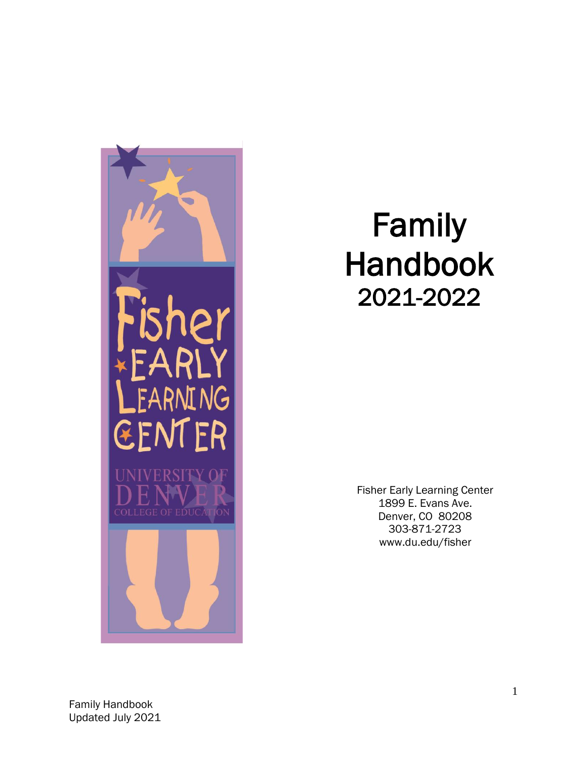

## Family Handbook 2021-2022

Fisher Early Learning Center 1899 E. Evans Ave. Denver, CO 80208 303-871-2723 www.du.edu/fisher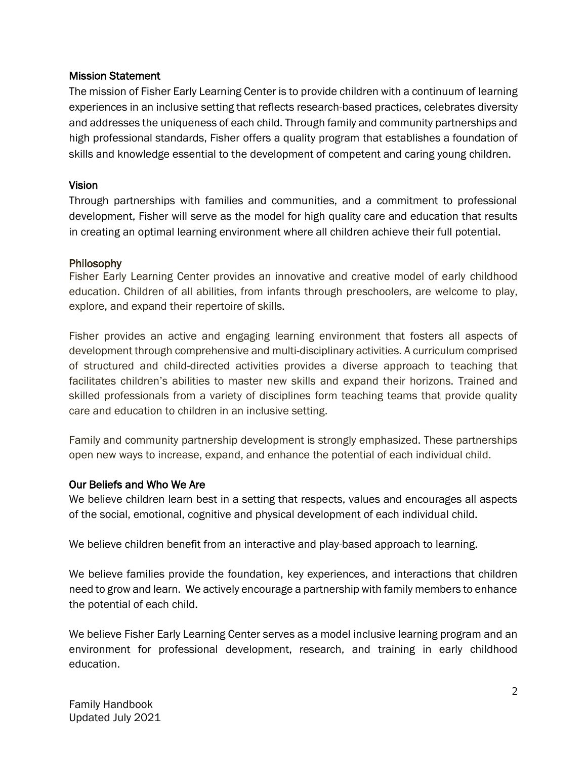#### Mission Statement

The mission of Fisher Early Learning Center is to provide children with a continuum of learning experiences in an inclusive setting that reflects research-based practices, celebrates diversity and addresses the uniqueness of each child. Through family and community partnerships and high professional standards, Fisher offers a quality program that establishes a foundation of skills and knowledge essential to the development of competent and caring young children.

### Vision

Through partnerships with families and communities, and a commitment to professional development, Fisher will serve as the model for high quality care and education that results in creating an optimal learning environment where all children achieve their full potential.

### Philosophy

Fisher Early Learning Center provides an innovative and creative model of early childhood education. Children of all abilities, from infants through preschoolers, are welcome to play, explore, and expand their repertoire of skills.

Fisher provides an active and engaging learning environment that fosters all aspects of development through comprehensive and multi-disciplinary activities. A curriculum comprised of structured and child-directed activities provides a diverse approach to teaching that facilitates children's abilities to master new skills and expand their horizons. Trained and skilled professionals from a variety of disciplines form teaching teams that provide quality care and education to children in an inclusive setting.

Family and community partnership development is strongly emphasized. These partnerships open new ways to increase, expand, and enhance the potential of each individual child.

#### Our Beliefs and Who We Are

We believe children learn best in a setting that respects, values and encourages all aspects of the social, emotional, cognitive and physical development of each individual child.

We believe children benefit from an interactive and play-based approach to learning.

We believe families provide the foundation, key experiences, and interactions that children need to grow and learn. We actively encourage a partnership with family members to enhance the potential of each child.

We believe Fisher Early Learning Center serves as a model inclusive learning program and an environment for professional development, research, and training in early childhood education.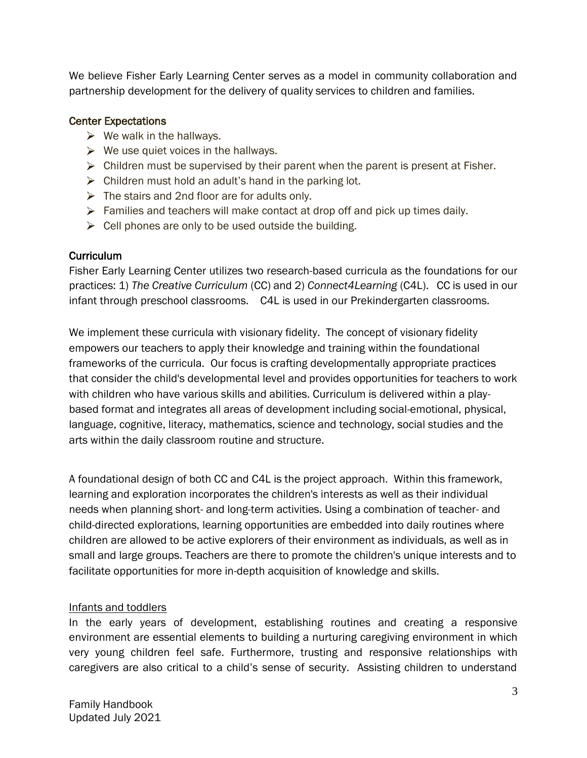We believe Fisher Early Learning Center serves as a model in community collaboration and partnership development for the delivery of quality services to children and families.

### Center Expectations

- $\triangleright$  We walk in the hallways.
- $\triangleright$  We use quiet voices in the hallways.
- $\triangleright$  Children must be supervised by their parent when the parent is present at Fisher.
- $\triangleright$  Children must hold an adult's hand in the parking lot.
- $\triangleright$  The stairs and 2nd floor are for adults only.
- $\triangleright$  Families and teachers will make contact at drop off and pick up times daily.
- $\triangleright$  Cell phones are only to be used outside the building.

### **Curriculum**

Fisher Early Learning Center utilizes two research-based curricula as the foundations for our practices: 1) *The Creative Curriculum* (CC) and 2) *Connect4Learning* (C4L). CC is used in our infant through preschool classrooms. C4L is used in our Prekindergarten classrooms.

We implement these curricula with visionary fidelity. The concept of visionary fidelity empowers our teachers to apply their knowledge and training within the foundational frameworks of the curricula. Our focus is crafting developmentally appropriate practices that consider the child's developmental level and provides opportunities for teachers to work with children who have various skills and abilities. Curriculum is delivered within a playbased format and integrates all areas of development including social-emotional, physical, language, cognitive, literacy, mathematics, science and technology, social studies and the arts within the daily classroom routine and structure.

A foundational design of both CC and C4L is the project approach. Within this framework, learning and exploration incorporates the children's interests as well as their individual needs when planning short- and long-term activities. Using a combination of teacher- and child-directed explorations, learning opportunities are embedded into daily routines where children are allowed to be active explorers of their environment as individuals, as well as in small and large groups. Teachers are there to promote the children's unique interests and to facilitate opportunities for more in-depth acquisition of knowledge and skills.

#### Infants and toddlers

In the early years of development, establishing routines and creating a responsive environment are essential elements to building a nurturing caregiving environment in which very young children feel safe. Furthermore, trusting and responsive relationships with caregivers are also critical to a child's sense of security. Assisting children to understand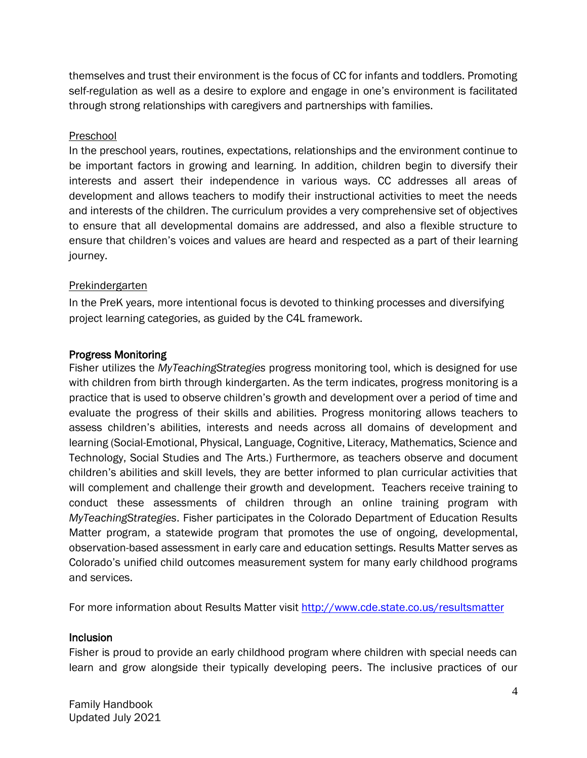themselves and trust their environment is the focus of CC for infants and toddlers. Promoting self-regulation as well as a desire to explore and engage in one's environment is facilitated through strong relationships with caregivers and partnerships with families.

#### Preschool

In the preschool years, routines, expectations, relationships and the environment continue to be important factors in growing and learning. In addition, children begin to diversify their interests and assert their independence in various ways. CC addresses all areas of development and allows teachers to modify their instructional activities to meet the needs and interests of the children. The curriculum provides a very comprehensive set of objectives to ensure that all developmental domains are addressed, and also a flexible structure to ensure that children's voices and values are heard and respected as a part of their learning journey.

#### Prekindergarten

In the PreK years, more intentional focus is devoted to thinking processes and diversifying project learning categories, as guided by the C4L framework.

#### Progress Monitoring

Fisher utilizes the *MyTeachingStrategies* progress monitoring tool, which is designed for use with children from birth through kindergarten. As the term indicates, progress monitoring is a practice that is used to observe children's growth and development over a period of time and evaluate the progress of their skills and abilities. Progress monitoring allows teachers to assess children's abilities, interests and needs across all domains of development and learning (Social-Emotional, Physical, Language, Cognitive, Literacy, Mathematics, Science and Technology, Social Studies and The Arts.) Furthermore, as teachers observe and document children's abilities and skill levels, they are better informed to plan curricular activities that will complement and challenge their growth and development. Teachers receive training to conduct these assessments of children through an online training program with *MyTeachingStrategies*. Fisher participates in the Colorado Department of Education Results Matter program, a statewide program that promotes the use of ongoing, developmental, observation-based assessment in early care and education settings. Results Matter serves as Colorado's unified child outcomes measurement system for many early childhood programs and services.

For more information about Results Matter visit<http://www.cde.state.co.us/resultsmatter>

#### **Inclusion**

Fisher is proud to provide an early childhood program where children with special needs can learn and grow alongside their typically developing peers. The inclusive practices of our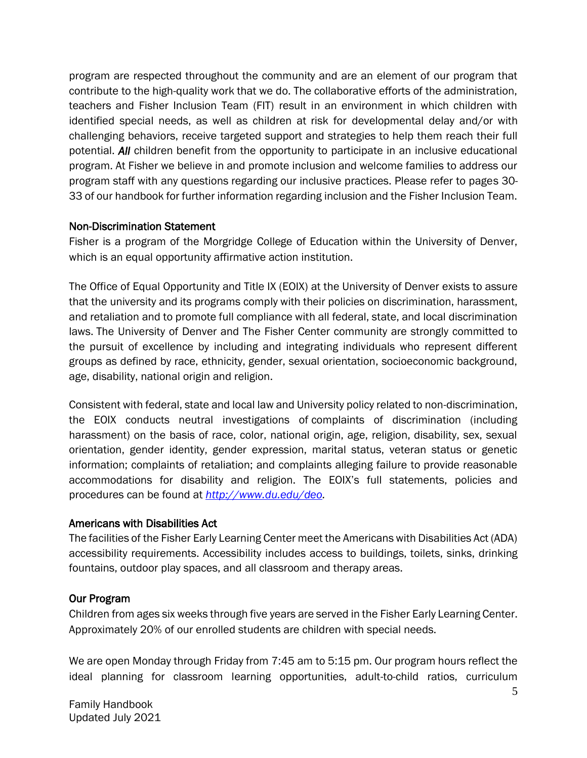program are respected throughout the community and are an element of our program that contribute to the high-quality work that we do. The collaborative efforts of the administration, teachers and Fisher Inclusion Team (FIT) result in an environment in which children with identified special needs, as well as children at risk for developmental delay and/or with challenging behaviors, receive targeted support and strategies to help them reach their full potential. *All* children benefit from the opportunity to participate in an inclusive educational program. At Fisher we believe in and promote inclusion and welcome families to address our program staff with any questions regarding our inclusive practices. Please refer to pages 30- 33 of our handbook for further information regarding inclusion and the Fisher Inclusion Team.

#### Non-Discrimination Statement

Fisher is a program of the Morgridge College of Education within the University of Denver, which is an equal opportunity affirmative action institution.

The Office of Equal Opportunity and Title IX (EOIX) at the University of Denver exists to assure that the university and its programs comply with their policies on discrimination, harassment, and retaliation and to promote full compliance with all federal, state, and local discrimination laws. The University of Denver and The Fisher Center community are strongly committed to the pursuit of excellence by including and integrating individuals who represent different groups as defined by race, ethnicity, gender, sexual orientation, socioeconomic background, age, disability, national origin and religion.

Consistent with federal, state and local law and University policy related to non-discrimination, the EOIX conducts neutral investigations of complaints of discrimination (including harassment) on the basis of race, color, national origin, age, religion, disability, sex, sexual orientation, gender identity, gender expression, marital status, veteran status or genetic information; complaints of retaliation; and complaints alleging failure to provide reasonable accommodations for disability and religion. The EOIX's full statements, policies and procedures can be found at *[http://www.du.edu/deo.](http://www.du.edu/deo)*

#### Americans with Disabilities Act

The facilities of the Fisher Early Learning Center meet the Americans with Disabilities Act (ADA) accessibility requirements. Accessibility includes access to buildings, toilets, sinks, drinking fountains, outdoor play spaces, and all classroom and therapy areas.

#### Our Program

Children from ages six weeks through five years are served in the Fisher Early Learning Center. Approximately 20% of our enrolled students are children with special needs.

We are open Monday through Friday from 7:45 am to 5:15 pm. Our program hours reflect the ideal planning for classroom learning opportunities, adult-to-child ratios, curriculum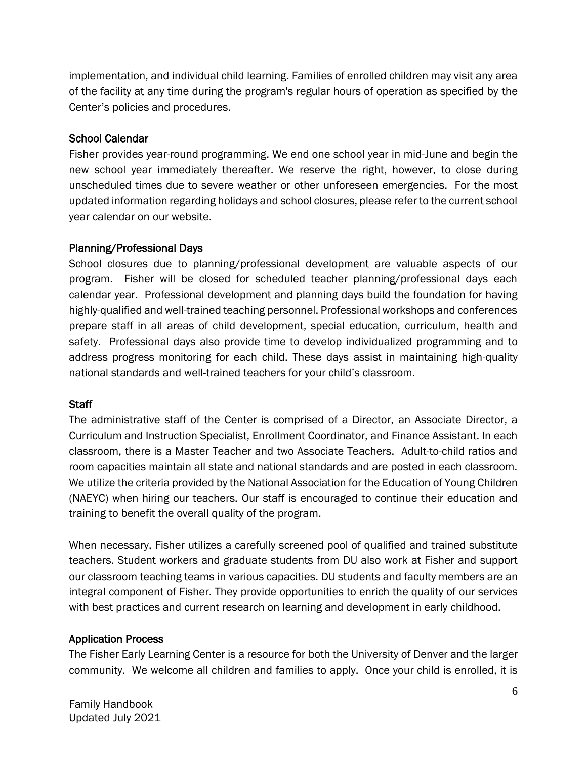implementation, and individual child learning. Families of enrolled children may visit any area of the facility at any time during the program's regular hours of operation as specified by the Center's policies and procedures.

#### School Calendar

Fisher provides year-round programming. We end one school year in mid-June and begin the new school year immediately thereafter. We reserve the right, however, to close during unscheduled times due to severe weather or other unforeseen emergencies. For the most updated information regarding holidays and school closures, please refer to the current school year calendar on our website.

### Planning/Professional Days

School closures due to planning/professional development are valuable aspects of our program. Fisher will be closed for scheduled teacher planning/professional days each calendar year. Professional development and planning days build the foundation for having highly-qualified and well-trained teaching personnel. Professional workshops and conferences prepare staff in all areas of child development, special education, curriculum, health and safety. Professional days also provide time to develop individualized programming and to address progress monitoring for each child. These days assist in maintaining high-quality national standards and well-trained teachers for your child's classroom.

#### **Staff**

The administrative staff of the Center is comprised of a Director, an Associate Director, a Curriculum and Instruction Specialist, Enrollment Coordinator, and Finance Assistant. In each classroom, there is a Master Teacher and two Associate Teachers. Adult-to-child ratios and room capacities maintain all state and national standards and are posted in each classroom. We utilize the criteria provided by the National Association for the Education of Young Children (NAEYC) when hiring our teachers. Our staff is encouraged to continue their education and training to benefit the overall quality of the program.

When necessary, Fisher utilizes a carefully screened pool of qualified and trained substitute teachers. Student workers and graduate students from DU also work at Fisher and support our classroom teaching teams in various capacities. DU students and faculty members are an integral component of Fisher. They provide opportunities to enrich the quality of our services with best practices and current research on learning and development in early childhood.

#### Application Process

The Fisher Early Learning Center is a resource for both the University of Denver and the larger community. We welcome all children and families to apply. Once your child is enrolled, it is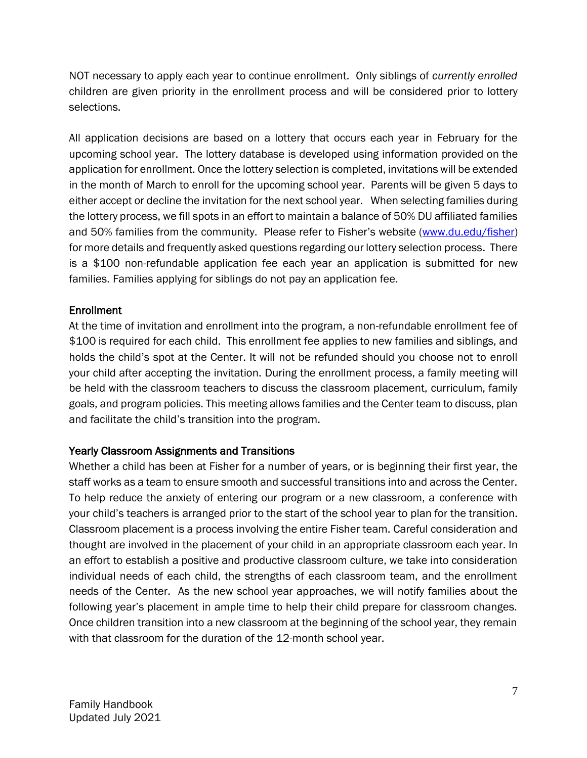NOT necessary to apply each year to continue enrollment. Only siblings of *currently enrolled* children are given priority in the enrollment process and will be considered prior to lottery selections.

All application decisions are based on a lottery that occurs each year in February for the upcoming school year. The lottery database is developed using information provided on the application for enrollment. Once the lottery selection is completed, invitations will be extended in the month of March to enroll for the upcoming school year. Parents will be given 5 days to either accept or decline the invitation for the next school year. When selecting families during the lottery process, we fill spots in an effort to maintain a balance of 50% DU affiliated families and 50% families from the community. Please refer to Fisher's website [\(www.du.edu/fisher\)](http://www.du.edu/fisher) for more details and frequently asked questions regarding our lottery selection process. There is a \$100 non-refundable application fee each year an application is submitted for new families. Families applying for siblings do not pay an application fee.

## **Enrollment**

At the time of invitation and enrollment into the program, a non-refundable enrollment fee of \$100 is required for each child. This enrollment fee applies to new families and siblings, and holds the child's spot at the Center. It will not be refunded should you choose not to enroll your child after accepting the invitation. During the enrollment process, a family meeting will be held with the classroom teachers to discuss the classroom placement, curriculum, family goals, and program policies. This meeting allows families and the Center team to discuss, plan and facilitate the child's transition into the program.

## Yearly Classroom Assignments and Transitions

Whether a child has been at Fisher for a number of years, or is beginning their first year, the staff works as a team to ensure smooth and successful transitions into and across the Center. To help reduce the anxiety of entering our program or a new classroom, a conference with your child's teachers is arranged prior to the start of the school year to plan for the transition. Classroom placement is a process involving the entire Fisher team. Careful consideration and thought are involved in the placement of your child in an appropriate classroom each year. In an effort to establish a positive and productive classroom culture, we take into consideration individual needs of each child, the strengths of each classroom team, and the enrollment needs of the Center. As the new school year approaches, we will notify families about the following year's placement in ample time to help their child prepare for classroom changes. Once children transition into a new classroom at the beginning of the school year, they remain with that classroom for the duration of the 12-month school year.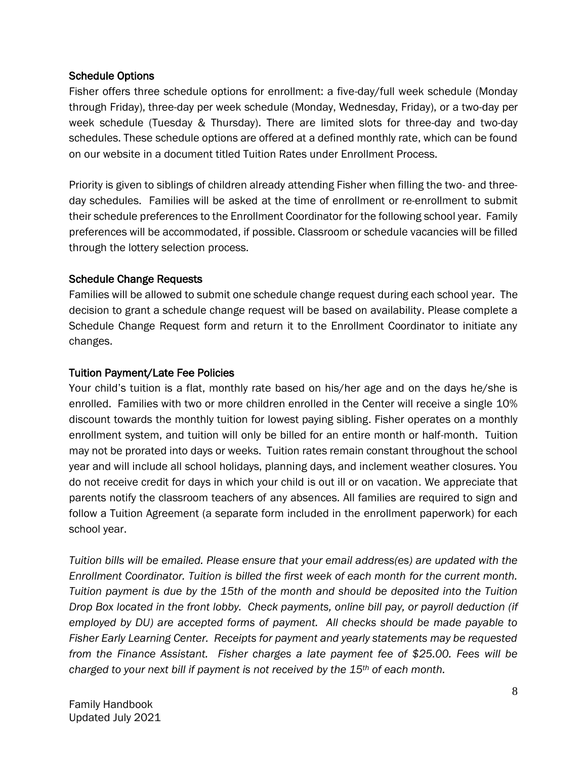#### Schedule Options

Fisher offers three schedule options for enrollment: a five-day/full week schedule (Monday through Friday), three-day per week schedule (Monday, Wednesday, Friday), or a two-day per week schedule (Tuesday & Thursday). There are limited slots for three-day and two-day schedules. These schedule options are offered at a defined monthly rate, which can be found on our website in a document titled Tuition Rates under Enrollment Process.

Priority is given to siblings of children already attending Fisher when filling the two- and threeday schedules. Families will be asked at the time of enrollment or re-enrollment to submit their schedule preferences to the Enrollment Coordinator for the following school year. Family preferences will be accommodated, if possible. Classroom or schedule vacancies will be filled through the lottery selection process.

#### Schedule Change Requests

Families will be allowed to submit one schedule change request during each school year. The decision to grant a schedule change request will be based on availability. Please complete a Schedule Change Request form and return it to the Enrollment Coordinator to initiate any changes.

#### Tuition Payment/Late Fee Policies

Your child's tuition is a flat, monthly rate based on his/her age and on the days he/she is enrolled. Families with two or more children enrolled in the Center will receive a single 10% discount towards the monthly tuition for lowest paying sibling. Fisher operates on a monthly enrollment system, and tuition will only be billed for an entire month or half-month. Tuition may not be prorated into days or weeks. Tuition rates remain constant throughout the school year and will include all school holidays, planning days, and inclement weather closures. You do not receive credit for days in which your child is out ill or on vacation. We appreciate that parents notify the classroom teachers of any absences. All families are required to sign and follow a Tuition Agreement (a separate form included in the enrollment paperwork) for each school year.

*Tuition bills will be emailed. Please ensure that your email address(es) are updated with the Enrollment Coordinator. Tuition is billed the first week of each month for the current month. Tuition payment is due by the 15th of the month and should be deposited into the Tuition Drop Box located in the front lobby. Check payments, online bill pay, or payroll deduction (if employed by DU) are accepted forms of payment. All checks should be made payable to Fisher Early Learning Center. Receipts for payment and yearly statements may be requested from the Finance Assistant. Fisher charges a late payment fee of \$25.00. Fees will be charged to your next bill if payment is not received by the 15th of each month.*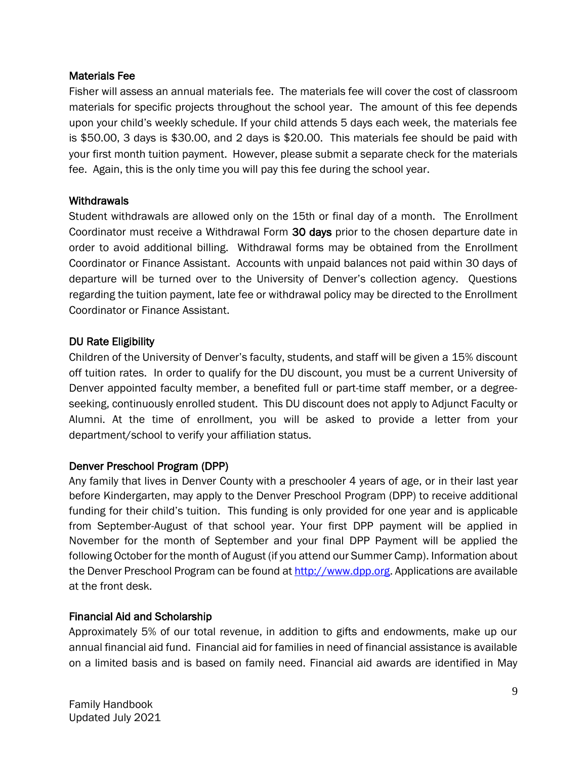#### Materials Fee

Fisher will assess an annual materials fee. The materials fee will cover the cost of classroom materials for specific projects throughout the school year. The amount of this fee depends upon your child's weekly schedule. If your child attends 5 days each week, the materials fee is \$50.00, 3 days is \$30.00, and 2 days is \$20.00. This materials fee should be paid with your first month tuition payment. However, please submit a separate check for the materials fee. Again, this is the only time you will pay this fee during the school year.

### **Withdrawals**

Student withdrawals are allowed only on the 15th or final day of a month. The Enrollment Coordinator must receive a Withdrawal Form 30 days prior to the chosen departure date in order to avoid additional billing. Withdrawal forms may be obtained from the Enrollment Coordinator or Finance Assistant. Accounts with unpaid balances not paid within 30 days of departure will be turned over to the University of Denver's collection agency. Questions regarding the tuition payment, late fee or withdrawal policy may be directed to the Enrollment Coordinator or Finance Assistant.

### DU Rate Eligibility

Children of the University of Denver's faculty, students, and staff will be given a 15% discount off tuition rates. In order to qualify for the DU discount, you must be a current University of Denver appointed faculty member, a benefited full or part-time staff member, or a degreeseeking, continuously enrolled student. This DU discount does not apply to Adjunct Faculty or Alumni. At the time of enrollment, you will be asked to provide a letter from your department/school to verify your affiliation status.

## Denver Preschool Program (DPP)

Any family that lives in Denver County with a preschooler 4 years of age, or in their last year before Kindergarten, may apply to the Denver Preschool Program (DPP) to receive additional funding for their child's tuition. This funding is only provided for one year and is applicable from September-August of that school year. Your first DPP payment will be applied in November for the month of September and your final DPP Payment will be applied the following October for the month of August (if you attend our Summer Camp). Information about the Denver Preschool Program can be found at [http://www.dpp.org.](http://www.dpp.org/) Applications are available at the front desk.

## Financial Aid and Scholarship

Approximately 5% of our total revenue, in addition to gifts and endowments, make up our annual financial aid fund. Financial aid for families in need of financial assistance is available on a limited basis and is based on family need. Financial aid awards are identified in May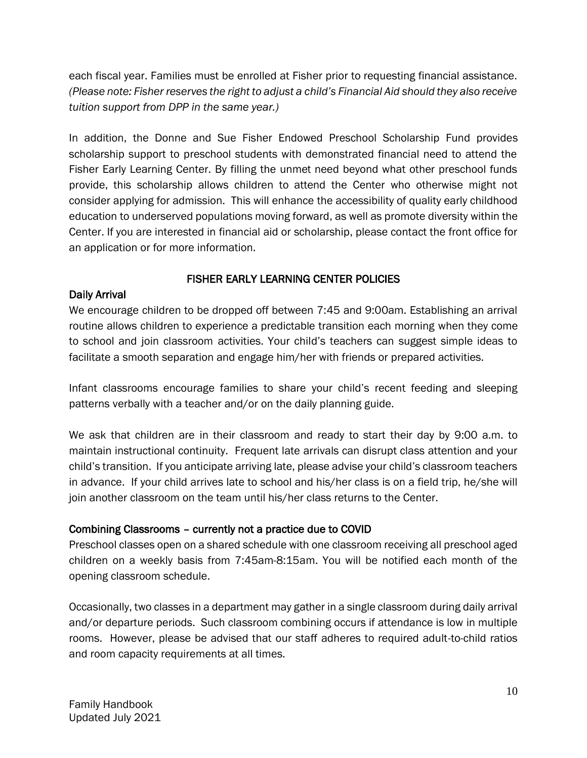each fiscal year. Families must be enrolled at Fisher prior to requesting financial assistance. *(Please note: Fisher reserves the right to adjust a child's Financial Aid should they also receive tuition support from DPP in the same year.)*

In addition, the Donne and Sue Fisher Endowed Preschool Scholarship Fund provides scholarship support to preschool students with demonstrated financial need to attend the Fisher Early Learning Center. By filling the unmet need beyond what other preschool funds provide, this scholarship allows children to attend the Center who otherwise might not consider applying for admission. This will enhance the accessibility of quality early childhood education to underserved populations moving forward, as well as promote diversity within the Center. If you are interested in financial aid or scholarship, please contact the front office for an application or for more information.

## FISHER EARLY LEARNING CENTER POLICIES

## Daily Arrival

We encourage children to be dropped off between 7:45 and 9:00am. Establishing an arrival routine allows children to experience a predictable transition each morning when they come to school and join classroom activities. Your child's teachers can suggest simple ideas to facilitate a smooth separation and engage him/her with friends or prepared activities.

Infant classrooms encourage families to share your child's recent feeding and sleeping patterns verbally with a teacher and/or on the daily planning guide.

We ask that children are in their classroom and ready to start their day by 9:00 a.m. to maintain instructional continuity. Frequent late arrivals can disrupt class attention and your child's transition. If you anticipate arriving late, please advise your child's classroom teachers in advance. If your child arrives late to school and his/her class is on a field trip, he/she will join another classroom on the team until his/her class returns to the Center.

## Combining Classrooms – currently not a practice due to COVID

Preschool classes open on a shared schedule with one classroom receiving all preschool aged children on a weekly basis from 7:45am-8:15am. You will be notified each month of the opening classroom schedule.

Occasionally, two classes in a department may gather in a single classroom during daily arrival and/or departure periods. Such classroom combining occurs if attendance is low in multiple rooms. However, please be advised that our staff adheres to required adult-to-child ratios and room capacity requirements at all times.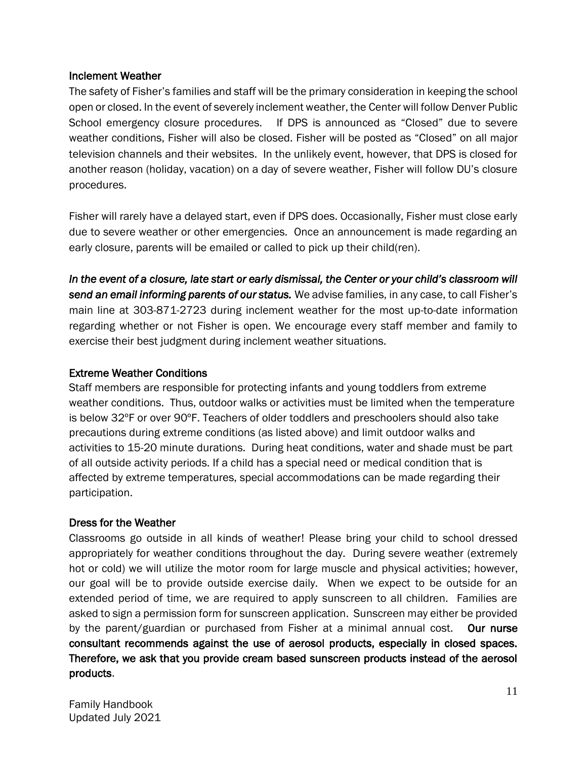#### Inclement Weather

The safety of Fisher's families and staff will be the primary consideration in keeping the school open or closed. In the event of severely inclement weather, the Center will follow Denver Public School emergency closure procedures. If DPS is announced as "Closed" due to severe weather conditions, Fisher will also be closed. Fisher will be posted as "Closed" on all major television channels and their websites. In the unlikely event, however, that DPS is closed for another reason (holiday, vacation) on a day of severe weather, Fisher will follow DU's closure procedures.

Fisher will rarely have a delayed start, even if DPS does. Occasionally, Fisher must close early due to severe weather or other emergencies. Once an announcement is made regarding an early closure, parents will be emailed or called to pick up their child(ren).

*In the event of a closure, late start or early dismissal, the Center or your child's classroom will send an email informing parents of our status.* We advise families, in any case, to call Fisher's main line at 303-871-2723 during inclement weather for the most up-to-date information regarding whether or not Fisher is open. We encourage every staff member and family to exercise their best judgment during inclement weather situations.

#### Extreme Weather Conditions

Staff members are responsible for protecting infants and young toddlers from extreme weather conditions. Thus, outdoor walks or activities must be limited when the temperature is below 32ºF or over 90ºF. Teachers of older toddlers and preschoolers should also take precautions during extreme conditions (as listed above) and limit outdoor walks and activities to 15-20 minute durations. During heat conditions, water and shade must be part of all outside activity periods. If a child has a special need or medical condition that is affected by extreme temperatures, special accommodations can be made regarding their participation.

#### Dress for the Weather

Classrooms go outside in all kinds of weather! Please bring your child to school dressed appropriately for weather conditions throughout the day. During severe weather (extremely hot or cold) we will utilize the motor room for large muscle and physical activities; however, our goal will be to provide outside exercise daily. When we expect to be outside for an extended period of time, we are required to apply sunscreen to all children. Families are asked to sign a permission form for sunscreen application. Sunscreen may either be provided by the parent/guardian or purchased from Fisher at a minimal annual cost. Our nurse consultant recommends against the use of aerosol products, especially in closed spaces. Therefore, we ask that you provide cream based sunscreen products instead of the aerosol products.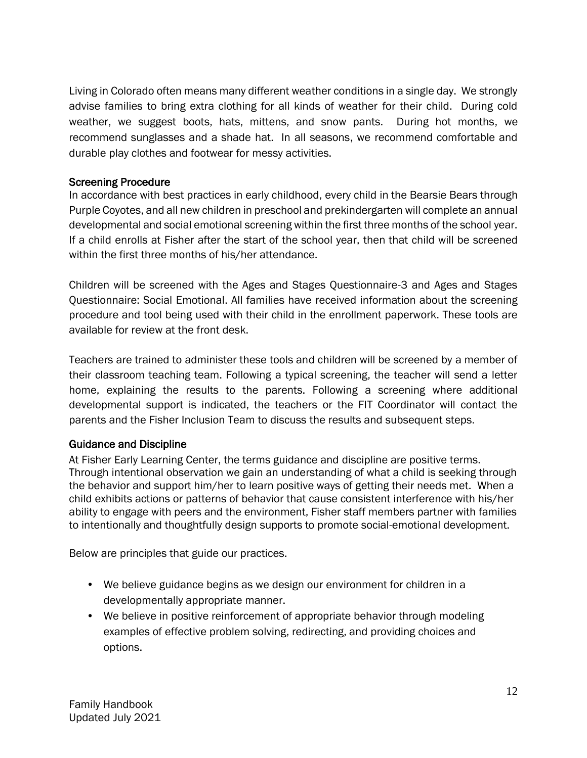Living in Colorado often means many different weather conditions in a single day. We strongly advise families to bring extra clothing for all kinds of weather for their child. During cold weather, we suggest boots, hats, mittens, and snow pants. During hot months, we recommend sunglasses and a shade hat. In all seasons, we recommend comfortable and durable play clothes and footwear for messy activities.

### Screening Procedure

In accordance with best practices in early childhood, every child in the Bearsie Bears through Purple Coyotes, and all new children in preschool and prekindergarten will complete an annual developmental and social emotional screening within the first three months of the school year. If a child enrolls at Fisher after the start of the school year, then that child will be screened within the first three months of his/her attendance.

Children will be screened with the Ages and Stages Questionnaire-3 and Ages and Stages Questionnaire: Social Emotional. All families have received information about the screening procedure and tool being used with their child in the enrollment paperwork. These tools are available for review at the front desk.

Teachers are trained to administer these tools and children will be screened by a member of their classroom teaching team. Following a typical screening, the teacher will send a letter home, explaining the results to the parents. Following a screening where additional developmental support is indicated, the teachers or the FIT Coordinator will contact the parents and the Fisher Inclusion Team to discuss the results and subsequent steps.

#### Guidance and Discipline

At Fisher Early Learning Center, the terms guidance and discipline are positive terms. Through intentional observation we gain an understanding of what a child is seeking through the behavior and support him/her to learn positive ways of getting their needs met. When a child exhibits actions or patterns of behavior that cause consistent interference with his/her ability to engage with peers and the environment, Fisher staff members partner with families to intentionally and thoughtfully design supports to promote social-emotional development.

Below are principles that guide our practices.

- We believe guidance begins as we design our environment for children in a developmentally appropriate manner.
- We believe in positive reinforcement of appropriate behavior through modeling examples of effective problem solving, redirecting, and providing choices and options.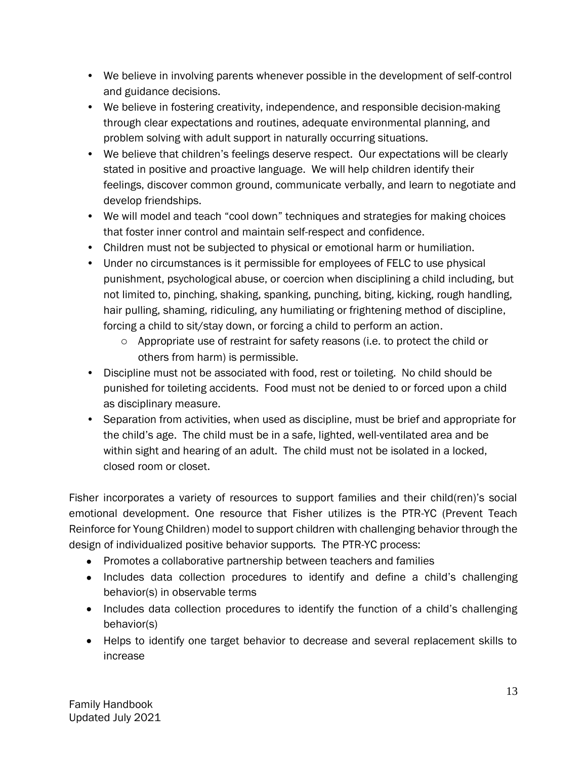- We believe in involving parents whenever possible in the development of self-control and guidance decisions.
- We believe in fostering creativity, independence, and responsible decision-making through clear expectations and routines, adequate environmental planning, and problem solving with adult support in naturally occurring situations.
- We believe that children's feelings deserve respect. Our expectations will be clearly stated in positive and proactive language. We will help children identify their feelings, discover common ground, communicate verbally, and learn to negotiate and develop friendships.
- We will model and teach "cool down" techniques and strategies for making choices that foster inner control and maintain self-respect and confidence.
- Children must not be subjected to physical or emotional harm or humiliation.
- Under no circumstances is it permissible for employees of FELC to use physical punishment, psychological abuse, or coercion when disciplining a child including, but not limited to, pinching, shaking, spanking, punching, biting, kicking, rough handling, hair pulling, shaming, ridiculing, any humiliating or frightening method of discipline, forcing a child to sit/stay down, or forcing a child to perform an action.
	- o Appropriate use of restraint for safety reasons (i.e. to protect the child or others from harm) is permissible.
- Discipline must not be associated with food, rest or toileting. No child should be punished for toileting accidents. Food must not be denied to or forced upon a child as disciplinary measure.
- Separation from activities, when used as discipline, must be brief and appropriate for the child's age. The child must be in a safe, lighted, well-ventilated area and be within sight and hearing of an adult. The child must not be isolated in a locked, closed room or closet.

Fisher incorporates a variety of resources to support families and their child(ren)'s social emotional development. One resource that Fisher utilizes is the PTR-YC (Prevent Teach Reinforce for Young Children) model to support children with challenging behavior through the design of individualized positive behavior supports. The PTR-YC process:

- Promotes a collaborative partnership between teachers and families
- Includes data collection procedures to identify and define a child's challenging behavior(s) in observable terms
- Includes data collection procedures to identify the function of a child's challenging behavior(s)
- Helps to identify one target behavior to decrease and several replacement skills to increase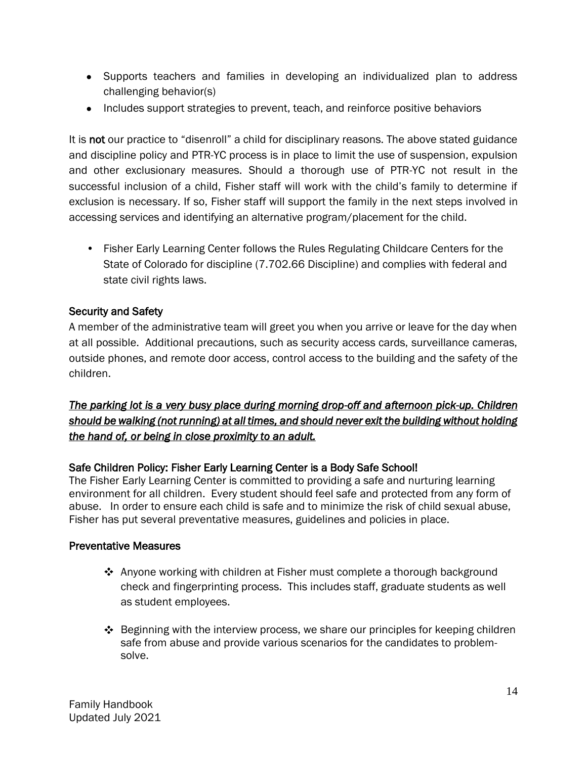- Supports teachers and families in developing an individualized plan to address challenging behavior(s)
- Includes support strategies to prevent, teach, and reinforce positive behaviors

It is not our practice to "disenroll" a child for disciplinary reasons. The above stated guidance and discipline policy and PTR-YC process is in place to limit the use of suspension, expulsion and other exclusionary measures. Should a thorough use of PTR-YC not result in the successful inclusion of a child, Fisher staff will work with the child's family to determine if exclusion is necessary. If so, Fisher staff will support the family in the next steps involved in accessing services and identifying an alternative program/placement for the child.

• Fisher Early Learning Center follows the Rules Regulating Childcare Centers for the State of Colorado for discipline (7.702.66 Discipline) and complies with federal and state civil rights laws.

## Security and Safety

A member of the administrative team will greet you when you arrive or leave for the day when at all possible. Additional precautions, such as security access cards, surveillance cameras, outside phones, and remote door access, control access to the building and the safety of the children.

## *The parking lot is a very busy place during morning drop-off and afternoon pick-up. Children should be walking (not running) at all times, and should never exit the building without holding the hand of, or being in close proximity to an adult.*

## Safe Children Policy: Fisher Early Learning Center is a Body Safe School!

The Fisher Early Learning Center is committed to providing a safe and nurturing learning environment for all children. Every student should feel safe and protected from any form of abuse. In order to ensure each child is safe and to minimize the risk of child sexual abuse, Fisher has put several preventative measures, guidelines and policies in place.

#### Preventative Measures

- $\cdot$  Anyone working with children at Fisher must complete a thorough background check and fingerprinting process. This includes staff, graduate students as well as student employees.
- $\cdot$  Beginning with the interview process, we share our principles for keeping children safe from abuse and provide various scenarios for the candidates to problemsolve.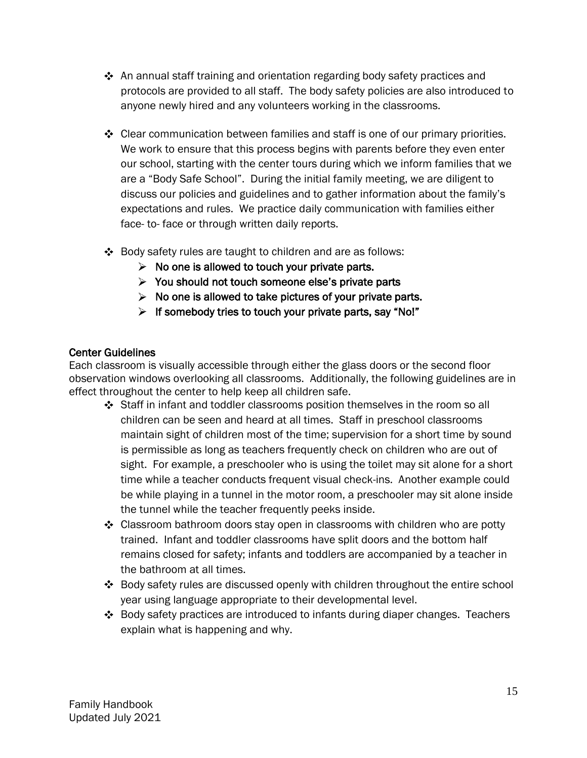- An annual staff training and orientation regarding body safety practices and protocols are provided to all staff. The body safety policies are also introduced to anyone newly hired and any volunteers working in the classrooms.
- $\div$  Clear communication between families and staff is one of our primary priorities. We work to ensure that this process begins with parents before they even enter our school, starting with the center tours during which we inform families that we are a "Body Safe School". During the initial family meeting, we are diligent to discuss our policies and guidelines and to gather information about the family's expectations and rules. We practice daily communication with families either face- to- face or through written daily reports.
- Body safety rules are taught to children and are as follows:
	- $\triangleright$  No one is allowed to touch your private parts.
	- $\triangleright$  You should not touch someone else's private parts
	- $\triangleright$  No one is allowed to take pictures of your private parts.
	- $\triangleright$  If somebody tries to touch your private parts, say "No!"

#### Center Guidelines

Each classroom is visually accessible through either the glass doors or the second floor observation windows overlooking all classrooms. Additionally, the following guidelines are in effect throughout the center to help keep all children safe.

- Staff in infant and toddler classrooms position themselves in the room so all children can be seen and heard at all times. Staff in preschool classrooms maintain sight of children most of the time; supervision for a short time by sound is permissible as long as teachers frequently check on children who are out of sight. For example, a preschooler who is using the toilet may sit alone for a short time while a teacher conducts frequent visual check-ins. Another example could be while playing in a tunnel in the motor room, a preschooler may sit alone inside the tunnel while the teacher frequently peeks inside.
- $\div$  Classroom bathroom doors stay open in classrooms with children who are potty trained. Infant and toddler classrooms have split doors and the bottom half remains closed for safety; infants and toddlers are accompanied by a teacher in the bathroom at all times.
- $\div$  Body safety rules are discussed openly with children throughout the entire school year using language appropriate to their developmental level.
- $\div$  Body safety practices are introduced to infants during diaper changes. Teachers explain what is happening and why.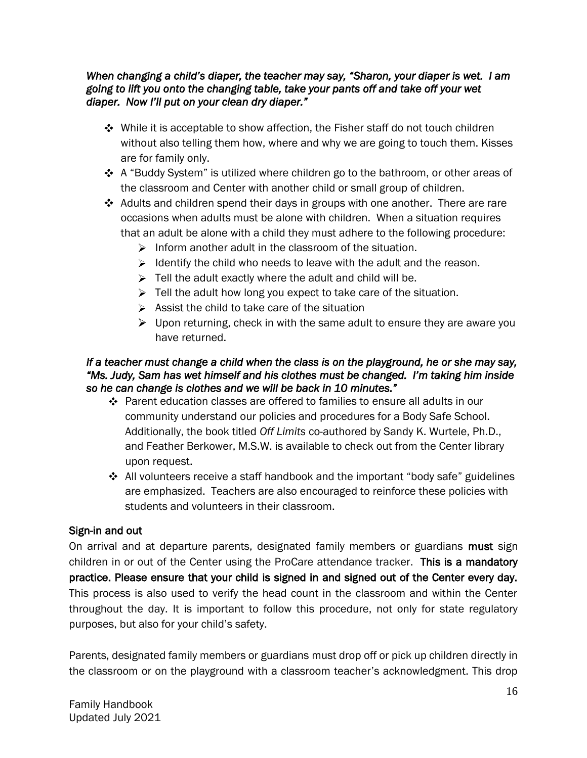#### *When changing a child's diaper, the teacher may say, "Sharon, your diaper is wet. I am going to lift you onto the changing table, take your pants off and take off your wet diaper. Now I'll put on your clean dry diaper."*

- $\div$  While it is acceptable to show affection, the Fisher staff do not touch children without also telling them how, where and why we are going to touch them. Kisses are for family only.
- A "Buddy System" is utilized where children go to the bathroom, or other areas of the classroom and Center with another child or small group of children.
- Adults and children spend their days in groups with one another. There are rare occasions when adults must be alone with children. When a situation requires that an adult be alone with a child they must adhere to the following procedure:
	- $\triangleright$  Inform another adult in the classroom of the situation.
	- $\triangleright$  Identify the child who needs to leave with the adult and the reason.
	- $\triangleright$  Tell the adult exactly where the adult and child will be.
	- $\triangleright$  Tell the adult how long you expect to take care of the situation.
	- $\triangleright$  Assist the child to take care of the situation
	- $\triangleright$  Upon returning, check in with the same adult to ensure they are aware you have returned.

#### *If a teacher must change a child when the class is on the playground, he or she may say, "Ms. Judy, Sam has wet himself and his clothes must be changed. I'm taking him inside so he can change is clothes and we will be back in 10 minutes."*

- Parent education classes are offered to families to ensure all adults in our community understand our policies and procedures for a Body Safe School. Additionally, the book titled *Off Limits* co-authored by Sandy K. Wurtele, Ph.D., and Feather Berkower, M.S.W. is available to check out from the Center library upon request.
- $\div$  All volunteers receive a staff handbook and the important "body safe" guidelines are emphasized. Teachers are also encouraged to reinforce these policies with students and volunteers in their classroom.

## Sign-in and out

On arrival and at departure parents, designated family members or guardians must sign children in or out of the Center using the ProCare attendance tracker. This is a mandatory practice. Please ensure that your child is signed in and signed out of the Center every day. This process is also used to verify the head count in the classroom and within the Center throughout the day. It is important to follow this procedure, not only for state regulatory purposes, but also for your child's safety.

Parents, designated family members or guardians must drop off or pick up children directly in the classroom or on the playground with a classroom teacher's acknowledgment. This drop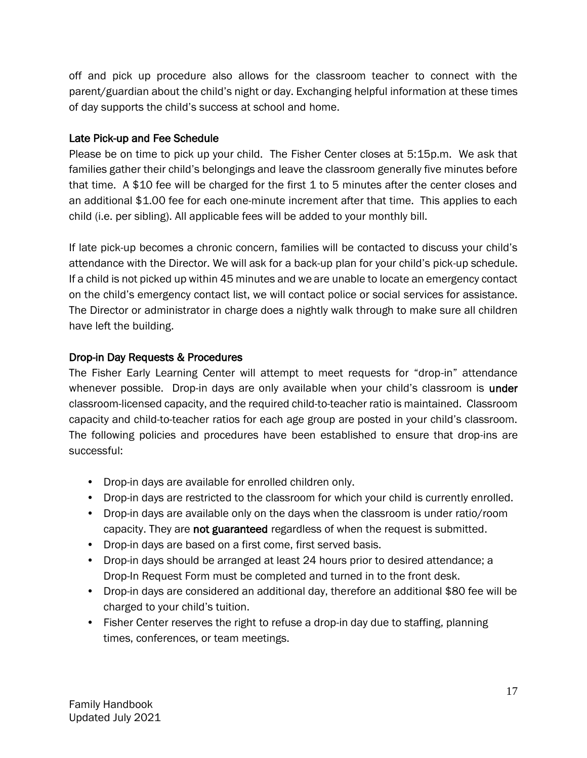off and pick up procedure also allows for the classroom teacher to connect with the parent/guardian about the child's night or day. Exchanging helpful information at these times of day supports the child's success at school and home.

### Late Pick-up and Fee Schedule

Please be on time to pick up your child. The Fisher Center closes at 5:15p.m. We ask that families gather their child's belongings and leave the classroom generally five minutes before that time. A \$10 fee will be charged for the first 1 to 5 minutes after the center closes and an additional \$1.00 fee for each one-minute increment after that time. This applies to each child (i.e. per sibling). All applicable fees will be added to your monthly bill.

If late pick-up becomes a chronic concern, families will be contacted to discuss your child's attendance with the Director. We will ask for a back-up plan for your child's pick-up schedule. If a child is not picked up within 45 minutes and we are unable to locate an emergency contact on the child's emergency contact list, we will contact police or social services for assistance. The Director or administrator in charge does a nightly walk through to make sure all children have left the building.

### Drop-in Day Requests & Procedures

The Fisher Early Learning Center will attempt to meet requests for "drop-in" attendance whenever possible. Drop-in days are only available when your child's classroom is under classroom-licensed capacity, and the required child-to-teacher ratio is maintained. Classroom capacity and child-to-teacher ratios for each age group are posted in your child's classroom. The following policies and procedures have been established to ensure that drop-ins are successful:

- Drop-in days are available for enrolled children only.
- Drop-in days are restricted to the classroom for which your child is currently enrolled.
- Drop-in days are available only on the days when the classroom is under ratio/room capacity. They are not guaranteed regardless of when the request is submitted.
- Drop-in days are based on a first come, first served basis.
- Drop-in days should be arranged at least 24 hours prior to desired attendance; a Drop-In Request Form must be completed and turned in to the front desk.
- Drop-in days are considered an additional day, therefore an additional \$80 fee will be charged to your child's tuition.
- Fisher Center reserves the right to refuse a drop-in day due to staffing, planning times, conferences, or team meetings.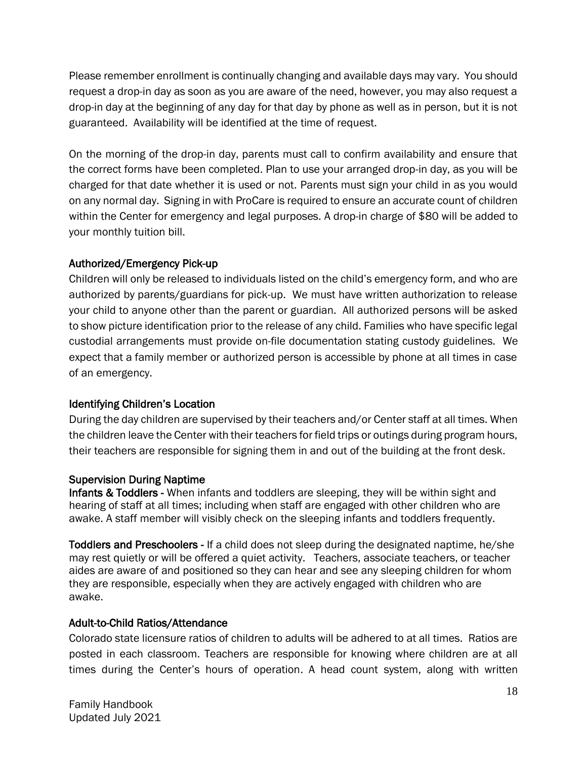Please remember enrollment is continually changing and available days may vary. You should request a drop-in day as soon as you are aware of the need, however, you may also request a drop-in day at the beginning of any day for that day by phone as well as in person, but it is not guaranteed. Availability will be identified at the time of request.

On the morning of the drop-in day, parents must call to confirm availability and ensure that the correct forms have been completed. Plan to use your arranged drop-in day, as you will be charged for that date whether it is used or not. Parents must sign your child in as you would on any normal day. Signing in with ProCare is required to ensure an accurate count of children within the Center for emergency and legal purposes. A drop-in charge of \$80 will be added to your monthly tuition bill.

### Authorized/Emergency Pick-up

Children will only be released to individuals listed on the child's emergency form, and who are authorized by parents/guardians for pick-up. We must have written authorization to release your child to anyone other than the parent or guardian. All authorized persons will be asked to show picture identification prior to the release of any child. Families who have specific legal custodial arrangements must provide on-file documentation stating custody guidelines. We expect that a family member or authorized person is accessible by phone at all times in case of an emergency.

## Identifying Children's Location

During the day children are supervised by their teachers and/or Center staff at all times. When the children leave the Center with their teachers for field trips or outings during program hours, their teachers are responsible for signing them in and out of the building at the front desk.

#### Supervision During Naptime

Infants & Toddlers - When infants and toddlers are sleeping, they will be within sight and hearing of staff at all times; including when staff are engaged with other children who are awake. A staff member will visibly check on the sleeping infants and toddlers frequently.

Toddlers and Preschoolers - If a child does not sleep during the designated naptime, he/she may rest quietly or will be offered a quiet activity. Teachers, associate teachers, or teacher aides are aware of and positioned so they can hear and see any sleeping children for whom they are responsible, especially when they are actively engaged with children who are awake.

#### Adult-to-Child Ratios/Attendance

Colorado state licensure ratios of children to adults will be adhered to at all times. Ratios are posted in each classroom. Teachers are responsible for knowing where children are at all times during the Center's hours of operation. A head count system, along with written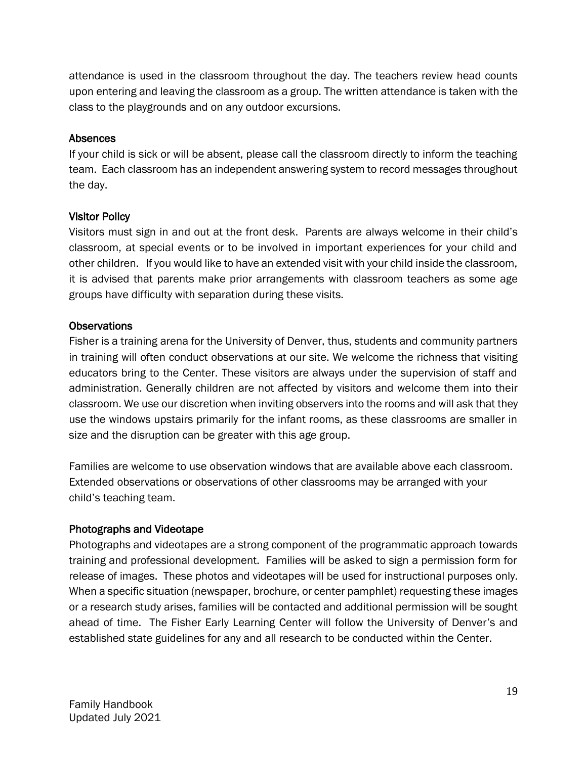attendance is used in the classroom throughout the day. The teachers review head counts upon entering and leaving the classroom as a group. The written attendance is taken with the class to the playgrounds and on any outdoor excursions.

### Absences

If your child is sick or will be absent, please call the classroom directly to inform the teaching team. Each classroom has an independent answering system to record messages throughout the day.

### Visitor Policy

Visitors must sign in and out at the front desk. Parents are always welcome in their child's classroom, at special events or to be involved in important experiences for your child and other children. If you would like to have an extended visit with your child inside the classroom, it is advised that parents make prior arrangements with classroom teachers as some age groups have difficulty with separation during these visits.

### Observations

Fisher is a training arena for the University of Denver, thus, students and community partners in training will often conduct observations at our site. We welcome the richness that visiting educators bring to the Center. These visitors are always under the supervision of staff and administration. Generally children are not affected by visitors and welcome them into their classroom. We use our discretion when inviting observers into the rooms and will ask that they use the windows upstairs primarily for the infant rooms, as these classrooms are smaller in size and the disruption can be greater with this age group.

Families are welcome to use observation windows that are available above each classroom. Extended observations or observations of other classrooms may be arranged with your child's teaching team.

## Photographs and Videotape

Photographs and videotapes are a strong component of the programmatic approach towards training and professional development. Families will be asked to sign a permission form for release of images. These photos and videotapes will be used for instructional purposes only. When a specific situation (newspaper, brochure, or center pamphlet) requesting these images or a research study arises, families will be contacted and additional permission will be sought ahead of time. The Fisher Early Learning Center will follow the University of Denver's and established state guidelines for any and all research to be conducted within the Center.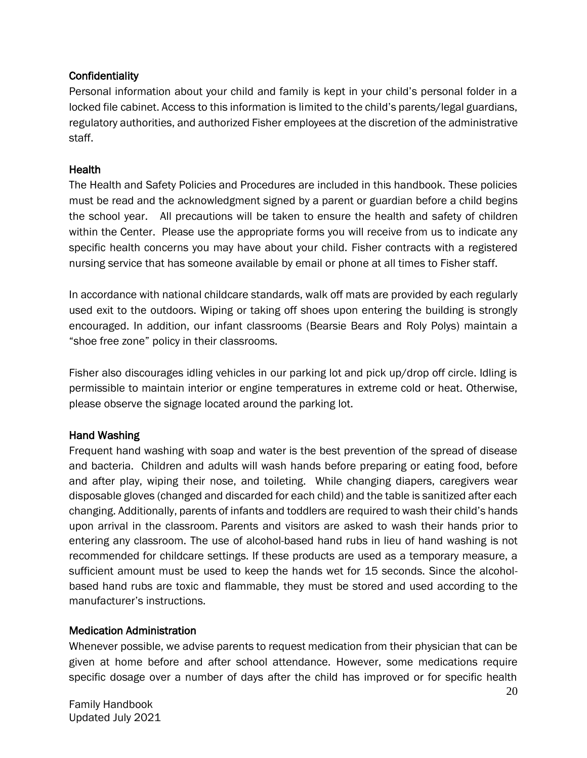### **Confidentiality**

Personal information about your child and family is kept in your child's personal folder in a locked file cabinet. Access to this information is limited to the child's parents/legal guardians, regulatory authorities, and authorized Fisher employees at the discretion of the administrative staff.

### **Health**

The Health and Safety Policies and Procedures are included in this handbook. These policies must be read and the acknowledgment signed by a parent or guardian before a child begins the school year. All precautions will be taken to ensure the health and safety of children within the Center. Please use the appropriate forms you will receive from us to indicate any specific health concerns you may have about your child. Fisher contracts with a registered nursing service that has someone available by email or phone at all times to Fisher staff.

In accordance with national childcare standards, walk off mats are provided by each regularly used exit to the outdoors. Wiping or taking off shoes upon entering the building is strongly encouraged. In addition, our infant classrooms (Bearsie Bears and Roly Polys) maintain a "shoe free zone" policy in their classrooms.

Fisher also discourages idling vehicles in our parking lot and pick up/drop off circle. Idling is permissible to maintain interior or engine temperatures in extreme cold or heat. Otherwise, please observe the signage located around the parking lot.

#### Hand Washing

Frequent hand washing with soap and water is the best prevention of the spread of disease and bacteria. Children and adults will wash hands before preparing or eating food, before and after play, wiping their nose, and toileting. While changing diapers, caregivers wear disposable gloves (changed and discarded for each child) and the table is sanitized after each changing. Additionally, parents of infants and toddlers are required to wash their child's hands upon arrival in the classroom. Parents and visitors are asked to wash their hands prior to entering any classroom. The use of alcohol-based hand rubs in lieu of hand washing is not recommended for childcare settings. If these products are used as a temporary measure, a sufficient amount must be used to keep the hands wet for 15 seconds. Since the alcoholbased hand rubs are toxic and flammable, they must be stored and used according to the manufacturer's instructions.

#### Medication Administration

Whenever possible, we advise parents to request medication from their physician that can be given at home before and after school attendance. However, some medications require specific dosage over a number of days after the child has improved or for specific health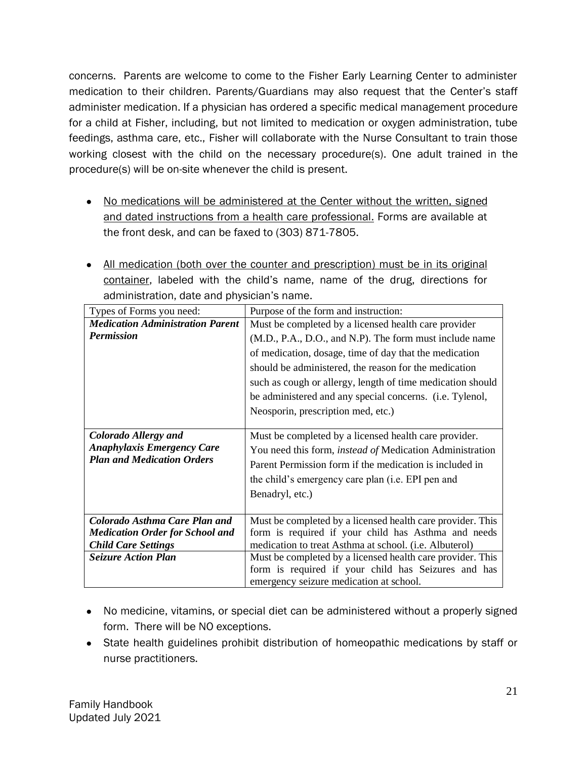concerns. Parents are welcome to come to the Fisher Early Learning Center to administer medication to their children. Parents/Guardians may also request that the Center's staff administer medication. If a physician has ordered a specific medical management procedure for a child at Fisher, including, but not limited to medication or oxygen administration, tube feedings, asthma care, etc., Fisher will collaborate with the Nurse Consultant to train those working closest with the child on the necessary procedure(s). One adult trained in the procedure(s) will be on-site whenever the child is present.

- No medications will be administered at the Center without the written, signed and dated instructions from a health care professional. Forms are available at the front desk, and can be faxed to (303) 871-7805.
- All medication (both over the counter and prescription) must be in its original container, labeled with the child's name, name of the drug, directions for administration, date and physician's name.

| Types of Forms you need:                | Purpose of the form and instruction:                            |
|-----------------------------------------|-----------------------------------------------------------------|
| <b>Medication Administration Parent</b> | Must be completed by a licensed health care provider            |
| <b>Permission</b>                       | (M.D., P.A., D.O., and N.P). The form must include name         |
|                                         | of medication, dosage, time of day that the medication          |
|                                         | should be administered, the reason for the medication           |
|                                         | such as cough or allergy, length of time medication should      |
|                                         | be administered and any special concerns. (i.e. Tylenol,        |
|                                         | Neosporin, prescription med, etc.)                              |
|                                         |                                                                 |
| Colorado Allergy and                    | Must be completed by a licensed health care provider.           |
| <b>Anaphylaxis Emergency Care</b>       | You need this form, <i>instead of</i> Medication Administration |
| <b>Plan and Medication Orders</b>       | Parent Permission form if the medication is included in         |
|                                         | the child's emergency care plan ( <i>i.e.</i> EPI pen and       |
|                                         | Benadryl, etc.)                                                 |
|                                         |                                                                 |
| Colorado Asthma Care Plan and           | Must be completed by a licensed health care provider. This      |
| <b>Medication Order for School and</b>  | form is required if your child has Asthma and needs             |
| <b>Child Care Settings</b>              | medication to treat Asthma at school. (i.e. Albuterol)          |
| <b>Seizure Action Plan</b>              | Must be completed by a licensed health care provider. This      |
|                                         | form is required if your child has Seizures and has             |
|                                         | emergency seizure medication at school.                         |

- No medicine, vitamins, or special diet can be administered without a properly signed form. There will be NO exceptions.
- State health guidelines prohibit distribution of homeopathic medications by staff or nurse practitioners.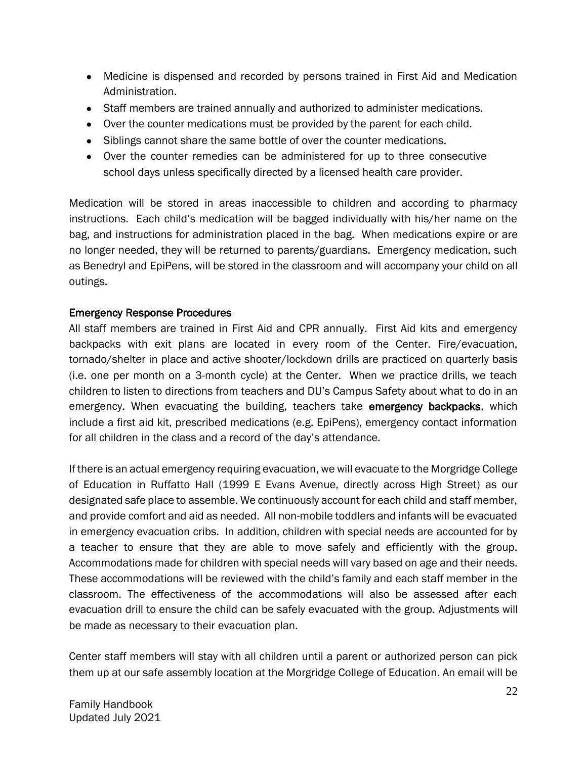- Medicine is dispensed and recorded by persons trained in First Aid and Medication Administration.
- Staff members are trained annually and authorized to administer medications.
- Over the counter medications must be provided by the parent for each child.
- Siblings cannot share the same bottle of over the counter medications.
- Over the counter remedies can be administered for up to three consecutive school days unless specifically directed by a licensed health care provider.

Medication will be stored in areas inaccessible to children and according to pharmacy instructions. Each child's medication will be bagged individually with his/her name on the bag, and instructions for administration placed in the bag. When medications expire or are no longer needed, they will be returned to parents/guardians. Emergency medication, such as Benedryl and EpiPens, will be stored in the classroom and will accompany your child on all outings.

### Emergency Response Procedures

All staff members are trained in First Aid and CPR annually. First Aid kits and emergency backpacks with exit plans are located in every room of the Center. Fire/evacuation, tornado/shelter in place and active shooter/lockdown drills are practiced on quarterly basis (i.e. one per month on a 3-month cycle) at the Center. When we practice drills, we teach children to listen to directions from teachers and DU's Campus Safety about what to do in an emergency. When evacuating the building, teachers take emergency backpacks, which include a first aid kit, prescribed medications (e.g. EpiPens), emergency contact information for all children in the class and a record of the day's attendance.

If there is an actual emergency requiring evacuation, we will evacuate to the Morgridge College of Education in Ruffatto Hall (1999 E Evans Avenue, directly across High Street) as our designated safe place to assemble. We continuously account for each child and staff member, and provide comfort and aid as needed. All non-mobile toddlers and infants will be evacuated in emergency evacuation cribs. In addition, children with special needs are accounted for by a teacher to ensure that they are able to move safely and efficiently with the group. Accommodations made for children with special needs will vary based on age and their needs. These accommodations will be reviewed with the child's family and each staff member in the classroom. The effectiveness of the accommodations will also be assessed after each evacuation drill to ensure the child can be safely evacuated with the group. Adjustments will be made as necessary to their evacuation plan.

Center staff members will stay with all children until a parent or authorized person can pick them up at our safe assembly location at the Morgridge College of Education. An email will be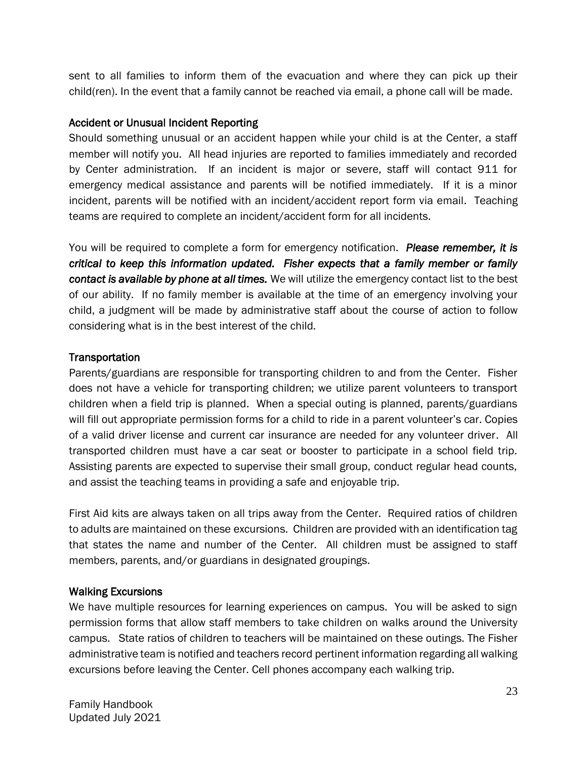sent to all families to inform them of the evacuation and where they can pick up their child(ren). In the event that a family cannot be reached via email, a phone call will be made.

#### Accident or Unusual Incident Reporting

Should something unusual or an accident happen while your child is at the Center, a staff member will notify you. All head injuries are reported to families immediately and recorded by Center administration. If an incident is major or severe, staff will contact 911 for emergency medical assistance and parents will be notified immediately. If it is a minor incident, parents will be notified with an incident/accident report form via email. Teaching teams are required to complete an incident/accident form for all incidents.

You will be required to complete a form for emergency notification. *Please remember, it is critical to keep this information updated. Fisher expects that a family member or family contact is available by phone at all times.* We will utilize the emergency contact list to the best of our ability. If no family member is available at the time of an emergency involving your child, a judgment will be made by administrative staff about the course of action to follow considering what is in the best interest of the child.

### **Transportation**

Parents/guardians are responsible for transporting children to and from the Center. Fisher does not have a vehicle for transporting children; we utilize parent volunteers to transport children when a field trip is planned. When a special outing is planned, parents/guardians will fill out appropriate permission forms for a child to ride in a parent volunteer's car. Copies of a valid driver license and current car insurance are needed for any volunteer driver. All transported children must have a car seat or booster to participate in a school field trip. Assisting parents are expected to supervise their small group, conduct regular head counts, and assist the teaching teams in providing a safe and enjoyable trip.

First Aid kits are always taken on all trips away from the Center. Required ratios of children to adults are maintained on these excursions. Children are provided with an identification tag that states the name and number of the Center. All children must be assigned to staff members, parents, and/or guardians in designated groupings.

#### Walking Excursions

We have multiple resources for learning experiences on campus. You will be asked to sign permission forms that allow staff members to take children on walks around the University campus. State ratios of children to teachers will be maintained on these outings. The Fisher administrative team is notified and teachers record pertinent information regarding all walking excursions before leaving the Center. Cell phones accompany each walking trip.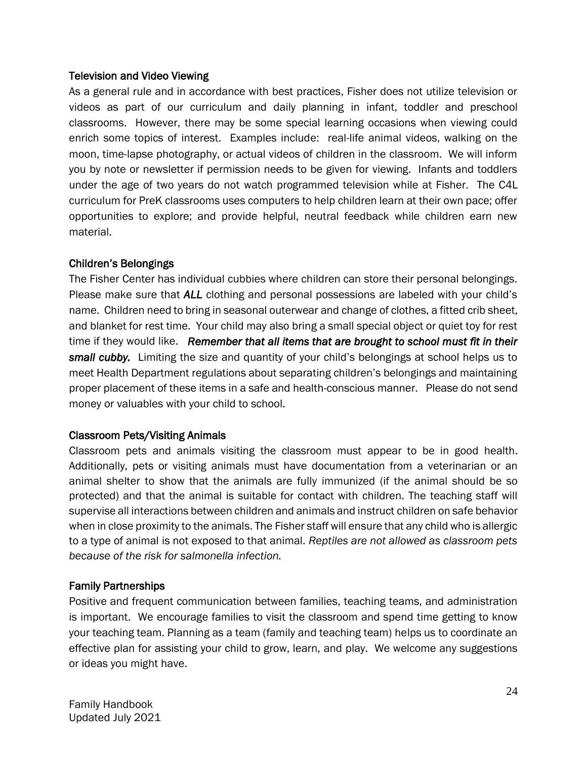#### Television and Video Viewing

As a general rule and in accordance with best practices, Fisher does not utilize television or videos as part of our curriculum and daily planning in infant, toddler and preschool classrooms. However, there may be some special learning occasions when viewing could enrich some topics of interest. Examples include: real-life animal videos, walking on the moon, time-lapse photography, or actual videos of children in the classroom. We will inform you by note or newsletter if permission needs to be given for viewing. Infants and toddlers under the age of two years do not watch programmed television while at Fisher. The C4L curriculum for PreK classrooms uses computers to help children learn at their own pace; offer opportunities to explore; and provide helpful, neutral feedback while children earn new material.

#### Children's Belongings

The Fisher Center has individual cubbies where children can store their personal belongings. Please make sure that *ALL* clothing and personal possessions are labeled with your child's name. Children need to bring in seasonal outerwear and change of clothes, a fitted crib sheet, and blanket for rest time. Your child may also bring a small special object or quiet toy for rest time if they would like. *Remember that all items that are brought to school must fit in their small cubby.* Limiting the size and quantity of your child's belongings at school helps us to meet Health Department regulations about separating children's belongings and maintaining proper placement of these items in a safe and health-conscious manner. Please do not send money or valuables with your child to school.

#### Classroom Pets/Visiting Animals

Classroom pets and animals visiting the classroom must appear to be in good health. Additionally, pets or visiting animals must have documentation from a veterinarian or an animal shelter to show that the animals are fully immunized (if the animal should be so protected) and that the animal is suitable for contact with children. The teaching staff will supervise all interactions between children and animals and instruct children on safe behavior when in close proximity to the animals. The Fisher staff will ensure that any child who is allergic to a type of animal is not exposed to that animal. *Reptiles are not allowed as classroom pets because of the risk for salmonella infection.*

#### Family Partnerships

Positive and frequent communication between families, teaching teams, and administration is important. We encourage families to visit the classroom and spend time getting to know your teaching team. Planning as a team (family and teaching team) helps us to coordinate an effective plan for assisting your child to grow, learn, and play. We welcome any suggestions or ideas you might have.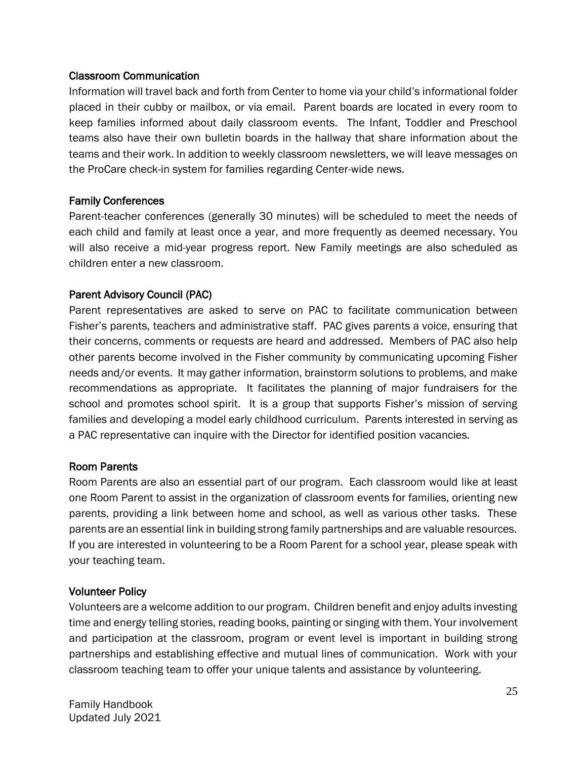#### Classroom Communication

Information will travel back and forth from Center to home via your child's informational folder placed in their cubby or mailbox, or via email. Parent boards are located in every room to keep families informed about daily classroom events. The Infant, Toddler and Preschool teams also have their own bulletin boards in the hallway that share information about the teams and their work. In addition to weekly classroom newsletters, we will leave messages on the ProCare check-in system for families regarding Center-wide news.

#### Family Conferences

Parent-teacher conferences (generally 30 minutes) will be scheduled to meet the needs of each child and family at least once a year, and more frequently as deemed necessary. You will also receive a mid-year progress report. New Family meetings are also scheduled as children enter a new classroom.

#### Parent Advisory Council (PAC)

Parent representatives are asked to serve on PAC to facilitate communication between Fisher's parents, teachers and administrative staff. PAC gives parents a voice, ensuring that their concerns, comments or requests are heard and addressed. Members of PAC also help other parents become involved in the Fisher community by communicating upcoming Fisher needs and/or events. It may gather information, brainstorm solutions to problems, and make recommendations as appropriate. It facilitates the planning of major fundraisers for the school and promotes school spirit. It is a group that supports Fisher's mission of serving families and developing a model early childhood curriculum. Parents interested in serving as a PAC representative can inquire with the Director for identified position vacancies.

#### Room Parents

Room Parents are also an essential part of our program. Each classroom would like at least one Room Parent to assist in the organization of classroom events for families, orienting new parents, providing a link between home and school, as well as various other tasks. These parents are an essential link in building strong family partnerships and are valuable resources. If you are interested in volunteering to be a Room Parent for a school year, please speak with your teaching team.

#### Volunteer Policy

Volunteers are a welcome addition to our program. Children benefit and enjoy adults investing time and energy telling stories, reading books, painting or singing with them. Your involvement and participation at the classroom, program or event level is important in building strong partnerships and establishing effective and mutual lines of communication. Work with your classroom teaching team to offer your unique talents and assistance by volunteering.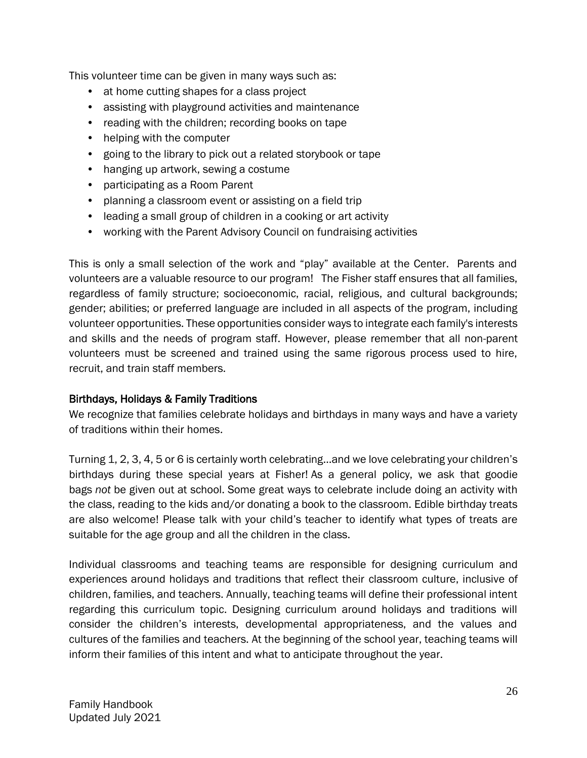This volunteer time can be given in many ways such as:

- at home cutting shapes for a class project
- assisting with playground activities and maintenance
- reading with the children; recording books on tape
- helping with the computer
- going to the library to pick out a related storybook or tape
- hanging up artwork, sewing a costume
- participating as a Room Parent
- planning a classroom event or assisting on a field trip
- leading a small group of children in a cooking or art activity
- working with the Parent Advisory Council on fundraising activities

This is only a small selection of the work and "play" available at the Center. Parents and volunteers are a valuable resource to our program! The Fisher staff ensures that all families, regardless of family structure; socioeconomic, racial, religious, and cultural backgrounds; gender; abilities; or preferred language are included in all aspects of the program, including volunteer opportunities. These opportunities consider ways to integrate each family's interests and skills and the needs of program staff. However, please remember that all non-parent volunteers must be screened and trained using the same rigorous process used to hire, recruit, and train staff members.

#### Birthdays, Holidays & Family Traditions

We recognize that families celebrate holidays and birthdays in many ways and have a variety of traditions within their homes.

Turning 1, 2, 3, 4, 5 or 6 is certainly worth celebrating…and we love celebrating your children's birthdays during these special years at Fisher! As a general policy, we ask that goodie bags *not* be given out at school. Some great ways to celebrate include doing an activity with the class, reading to the kids and/or donating a book to the classroom. Edible birthday treats are also welcome! Please talk with your child's teacher to identify what types of treats are suitable for the age group and all the children in the class.

Individual classrooms and teaching teams are responsible for designing curriculum and experiences around holidays and traditions that reflect their classroom culture, inclusive of children, families, and teachers. Annually, teaching teams will define their professional intent regarding this curriculum topic. Designing curriculum around holidays and traditions will consider the children's interests, developmental appropriateness, and the values and cultures of the families and teachers. At the beginning of the school year, teaching teams will inform their families of this intent and what to anticipate throughout the year.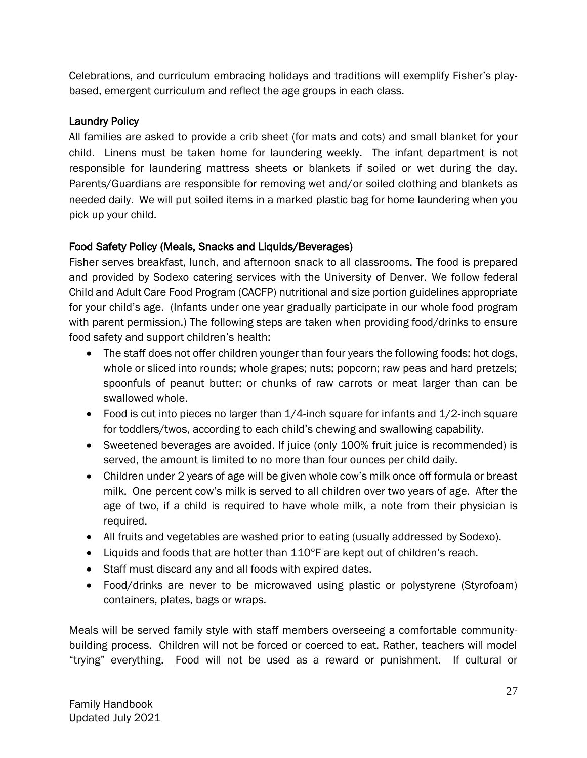Celebrations, and curriculum embracing holidays and traditions will exemplify Fisher's playbased, emergent curriculum and reflect the age groups in each class.

## Laundry Policy

All families are asked to provide a crib sheet (for mats and cots) and small blanket for your child. Linens must be taken home for laundering weekly. The infant department is not responsible for laundering mattress sheets or blankets if soiled or wet during the day. Parents/Guardians are responsible for removing wet and/or soiled clothing and blankets as needed daily. We will put soiled items in a marked plastic bag for home laundering when you pick up your child.

## Food Safety Policy (Meals, Snacks and Liquids/Beverages)

Fisher serves breakfast, lunch, and afternoon snack to all classrooms. The food is prepared and provided by Sodexo catering services with the University of Denver. We follow federal Child and Adult Care Food Program (CACFP) nutritional and size portion guidelines appropriate for your child's age. (Infants under one year gradually participate in our whole food program with parent permission.) The following steps are taken when providing food/drinks to ensure food safety and support children's health:

- The staff does not offer children younger than four years the following foods: hot dogs, whole or sliced into rounds; whole grapes; nuts; popcorn; raw peas and hard pretzels; spoonfuls of peanut butter; or chunks of raw carrots or meat larger than can be swallowed whole.
- Food is cut into pieces no larger than  $1/4$ -inch square for infants and  $1/2$ -inch square for toddlers/twos, according to each child's chewing and swallowing capability.
- Sweetened beverages are avoided. If juice (only 100% fruit juice is recommended) is served, the amount is limited to no more than four ounces per child daily.
- Children under 2 years of age will be given whole cow's milk once off formula or breast milk. One percent cow's milk is served to all children over two years of age. After the age of two, if a child is required to have whole milk, a note from their physician is required.
- All fruits and vegetables are washed prior to eating (usually addressed by Sodexo).
- Liquids and foods that are hotter than  $110^{\circ}$ F are kept out of children's reach.
- Staff must discard any and all foods with expired dates.
- Food/drinks are never to be microwaved using plastic or polystyrene (Styrofoam) containers, plates, bags or wraps.

Meals will be served family style with staff members overseeing a comfortable communitybuilding process. Children will not be forced or coerced to eat. Rather, teachers will model "trying" everything. Food will not be used as a reward or punishment. If cultural or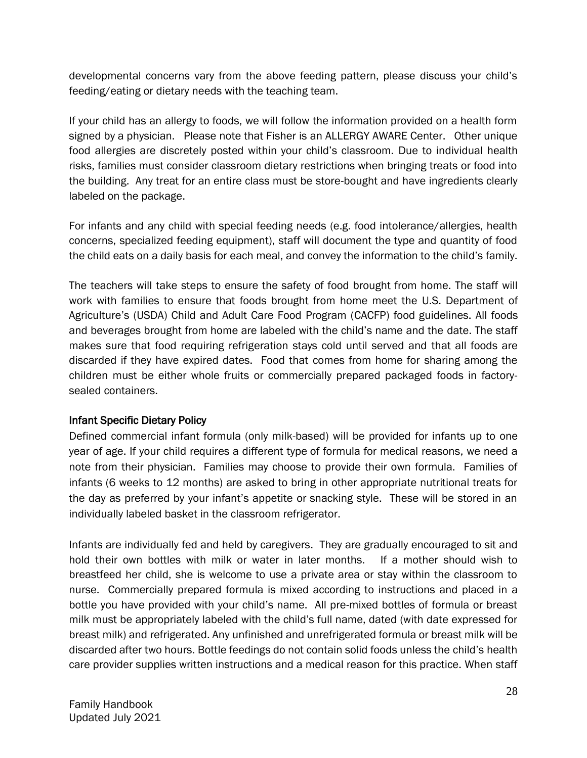developmental concerns vary from the above feeding pattern, please discuss your child's feeding/eating or dietary needs with the teaching team.

If your child has an allergy to foods, we will follow the information provided on a health form signed by a physician. Please note that Fisher is an ALLERGY AWARE Center. Other unique food allergies are discretely posted within your child's classroom. Due to individual health risks, families must consider classroom dietary restrictions when bringing treats or food into the building. Any treat for an entire class must be store-bought and have ingredients clearly labeled on the package.

For infants and any child with special feeding needs (e.g. food intolerance/allergies, health concerns, specialized feeding equipment), staff will document the type and quantity of food the child eats on a daily basis for each meal, and convey the information to the child's family.

The teachers will take steps to ensure the safety of food brought from home. The staff will work with families to ensure that foods brought from home meet the U.S. Department of Agriculture's (USDA) Child and Adult Care Food Program (CACFP) food guidelines. All foods and beverages brought from home are labeled with the child's name and the date. The staff makes sure that food requiring refrigeration stays cold until served and that all foods are discarded if they have expired dates. Food that comes from home for sharing among the children must be either whole fruits or commercially prepared packaged foods in factorysealed containers.

## Infant Specific Dietary Policy

Defined commercial infant formula (only milk-based) will be provided for infants up to one year of age. If your child requires a different type of formula for medical reasons, we need a note from their physician. Families may choose to provide their own formula. Families of infants (6 weeks to 12 months) are asked to bring in other appropriate nutritional treats for the day as preferred by your infant's appetite or snacking style. These will be stored in an individually labeled basket in the classroom refrigerator.

Infants are individually fed and held by caregivers. They are gradually encouraged to sit and hold their own bottles with milk or water in later months. If a mother should wish to breastfeed her child, she is welcome to use a private area or stay within the classroom to nurse. Commercially prepared formula is mixed according to instructions and placed in a bottle you have provided with your child's name. All pre-mixed bottles of formula or breast milk must be appropriately labeled with the child's full name, dated (with date expressed for breast milk) and refrigerated. Any unfinished and unrefrigerated formula or breast milk will be discarded after two hours. Bottle feedings do not contain solid foods unless the child's health care provider supplies written instructions and a medical reason for this practice. When staff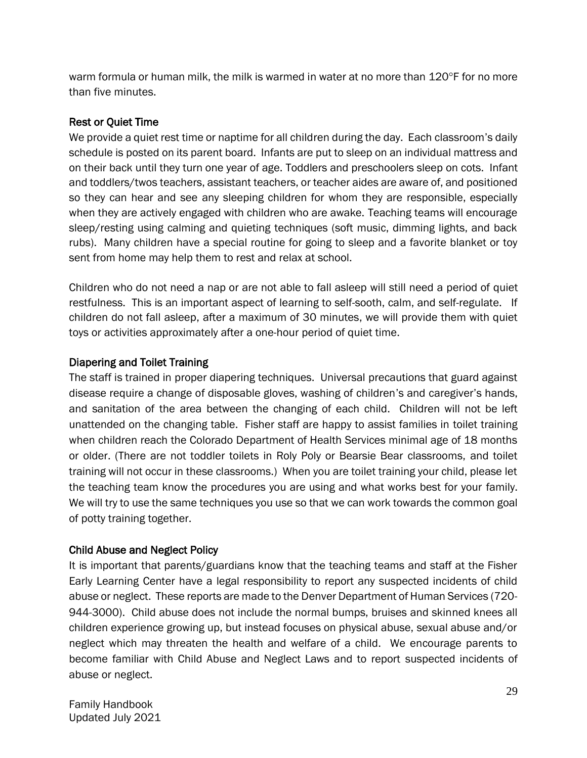warm formula or human milk, the milk is warmed in water at no more than  $120^{\circ}$ F for no more than five minutes.

### Rest or Quiet Time

We provide a quiet rest time or naptime for all children during the day. Each classroom's daily schedule is posted on its parent board. Infants are put to sleep on an individual mattress and on their back until they turn one year of age. Toddlers and preschoolers sleep on cots. Infant and toddlers/twos teachers, assistant teachers, or teacher aides are aware of, and positioned so they can hear and see any sleeping children for whom they are responsible, especially when they are actively engaged with children who are awake. Teaching teams will encourage sleep/resting using calming and quieting techniques (soft music, dimming lights, and back rubs). Many children have a special routine for going to sleep and a favorite blanket or toy sent from home may help them to rest and relax at school.

Children who do not need a nap or are not able to fall asleep will still need a period of quiet restfulness. This is an important aspect of learning to self-sooth, calm, and self-regulate. If children do not fall asleep, after a maximum of 30 minutes, we will provide them with quiet toys or activities approximately after a one-hour period of quiet time.

### Diapering and Toilet Training

The staff is trained in proper diapering techniques. Universal precautions that guard against disease require a change of disposable gloves, washing of children's and caregiver's hands, and sanitation of the area between the changing of each child. Children will not be left unattended on the changing table. Fisher staff are happy to assist families in toilet training when children reach the Colorado Department of Health Services minimal age of 18 months or older. (There are not toddler toilets in Roly Poly or Bearsie Bear classrooms, and toilet training will not occur in these classrooms.) When you are toilet training your child, please let the teaching team know the procedures you are using and what works best for your family. We will try to use the same techniques you use so that we can work towards the common goal of potty training together.

#### Child Abuse and Neglect Policy

It is important that parents/guardians know that the teaching teams and staff at the Fisher Early Learning Center have a legal responsibility to report any suspected incidents of child abuse or neglect. These reports are made to the Denver Department of Human Services (720- 944-3000). Child abuse does not include the normal bumps, bruises and skinned knees all children experience growing up, but instead focuses on physical abuse, sexual abuse and/or neglect which may threaten the health and welfare of a child. We encourage parents to become familiar with Child Abuse and Neglect Laws and to report suspected incidents of abuse or neglect.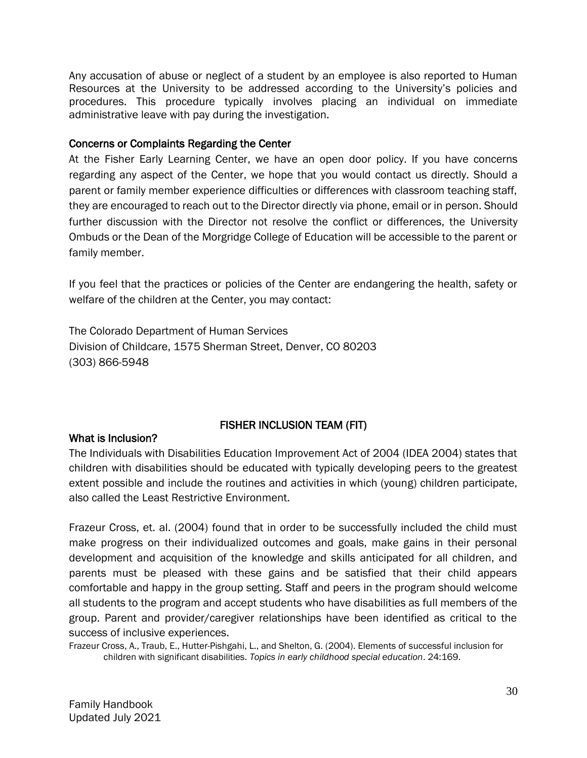Any accusation of abuse or neglect of a student by an employee is also reported to Human Resources at the University to be addressed according to the University's policies and procedures. This procedure typically involves placing an individual on immediate administrative leave with pay during the investigation.

#### Concerns or Complaints Regarding the Center

At the Fisher Early Learning Center, we have an open door policy. If you have concerns regarding any aspect of the Center, we hope that you would contact us directly. Should a parent or family member experience difficulties or differences with classroom teaching staff, they are encouraged to reach out to the Director directly via phone, email or in person. Should further discussion with the Director not resolve the conflict or differences, the University Ombuds or the Dean of the Morgridge College of Education will be accessible to the parent or family member.

If you feel that the practices or policies of the Center are endangering the health, safety or welfare of the children at the Center, you may contact:

The Colorado Department of Human Services Division of Childcare, 1575 Sherman Street, Denver, CO 80203 (303) 866-5948

## FISHER INCLUSION TEAM (FIT)

#### What is Inclusion?

The Individuals with Disabilities Education Improvement Act of 2004 (IDEA 2004) states that children with disabilities should be educated with typically developing peers to the greatest extent possible and include the routines and activities in which (young) children participate, also called the Least Restrictive Environment.

Frazeur Cross, et. al. (2004) found that in order to be successfully included the child must make progress on their individualized outcomes and goals, make gains in their personal development and acquisition of the knowledge and skills anticipated for all children, and parents must be pleased with these gains and be satisfied that their child appears comfortable and happy in the group setting. Staff and peers in the program should welcome all students to the program and accept students who have disabilities as full members of the group. Parent and provider/caregiver relationships have been identified as critical to the success of inclusive experiences.

Frazeur Cross, A., Traub, E., Hutter-Pishgahi, L., and Shelton, G. (2004). Elements of successful inclusion for children with significant disabilities. *Topics in early childhood special education*. 24:169.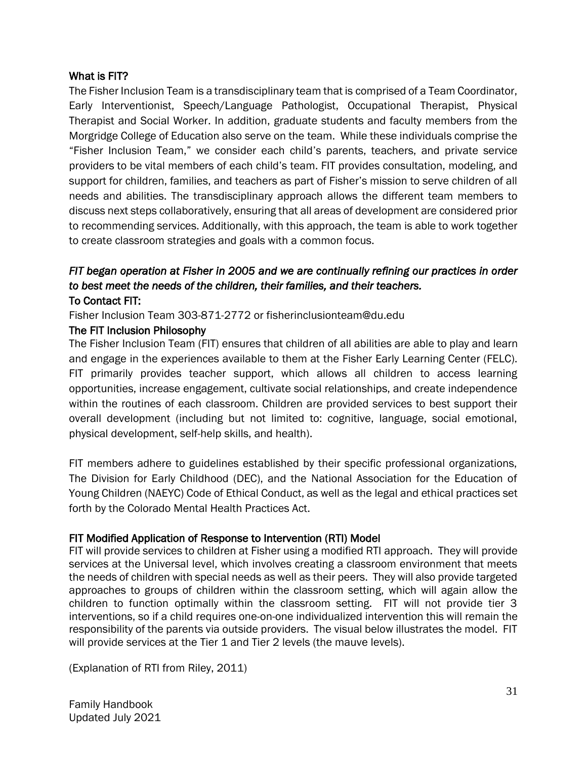#### What is FIT?

The Fisher Inclusion Team is a transdisciplinary team that is comprised of a Team Coordinator, Early Interventionist, Speech/Language Pathologist, Occupational Therapist, Physical Therapist and Social Worker. In addition, graduate students and faculty members from the Morgridge College of Education also serve on the team. While these individuals comprise the "Fisher Inclusion Team," we consider each child's parents, teachers, and private service providers to be vital members of each child's team. FIT provides consultation, modeling, and support for children, families, and teachers as part of Fisher's mission to serve children of all needs and abilities. The transdisciplinary approach allows the different team members to discuss next steps collaboratively, ensuring that all areas of development are considered prior to recommending services. Additionally, with this approach, the team is able to work together to create classroom strategies and goals with a common focus.

### *FIT began operation at Fisher in 2005 and we are continually refining our practices in order to best meet the needs of the children, their families, and their teachers.*  To Contact FIT:

Fisher Inclusion Team 303-871-2772 or fisherinclusionteam@du.edu

#### The FIT Inclusion Philosophy

The Fisher Inclusion Team (FIT) ensures that children of all abilities are able to play and learn and engage in the experiences available to them at the Fisher Early Learning Center (FELC). FIT primarily provides teacher support, which allows all children to access learning opportunities, increase engagement, cultivate social relationships, and create independence within the routines of each classroom. Children are provided services to best support their overall development (including but not limited to: cognitive, language, social emotional, physical development, self-help skills, and health).

FIT members adhere to guidelines established by their specific professional organizations, The Division for Early Childhood (DEC), and the National Association for the Education of Young Children (NAEYC) Code of Ethical Conduct, as well as the legal and ethical practices set forth by the Colorado Mental Health Practices Act.

#### FIT Modified Application of Response to Intervention (RTI) Model

FIT will provide services to children at Fisher using a modified RTI approach. They will provide services at the Universal level, which involves creating a classroom environment that meets the needs of children with special needs as well as their peers. They will also provide targeted approaches to groups of children within the classroom setting, which will again allow the children to function optimally within the classroom setting. FIT will not provide tier 3 interventions, so if a child requires one-on-one individualized intervention this will remain the responsibility of the parents via outside providers. The visual below illustrates the model. FIT will provide services at the Tier 1 and Tier 2 levels (the mauve levels).

(Explanation of RTI from Riley, 2011)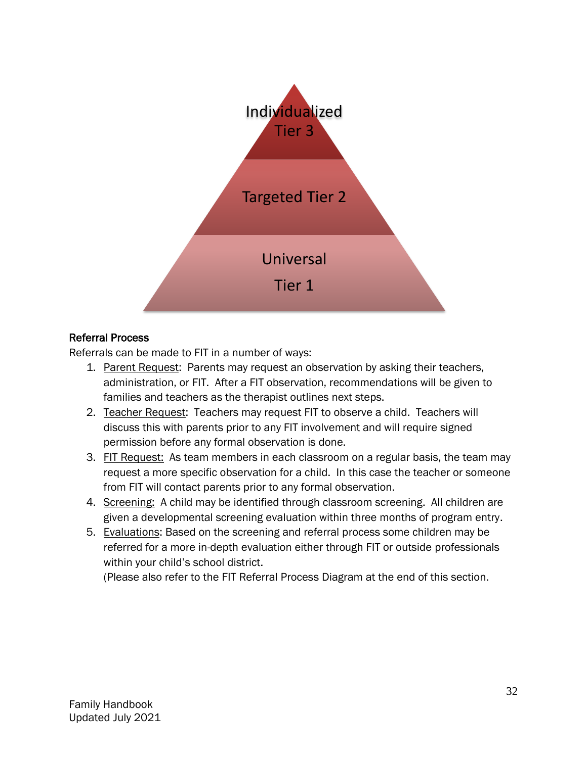

## Referral Process

Referrals can be made to FIT in a number of ways:

- 1. Parent Request: Parents may request an observation by asking their teachers, administration, or FIT. After a FIT observation, recommendations will be given to families and teachers as the therapist outlines next steps.
- 2. Teacher Request: Teachers may request FIT to observe a child. Teachers will discuss this with parents prior to any FIT involvement and will require signed permission before any formal observation is done.
- 3. FIT Request: As team members in each classroom on a regular basis, the team may request a more specific observation for a child. In this case the teacher or someone from FIT will contact parents prior to any formal observation.
- 4. Screening: A child may be identified through classroom screening. All children are given a developmental screening evaluation within three months of program entry.
- 5. Evaluations: Based on the screening and referral process some children may be referred for a more in-depth evaluation either through FIT or outside professionals within your child's school district.

(Please also refer to the FIT Referral Process Diagram at the end of this section.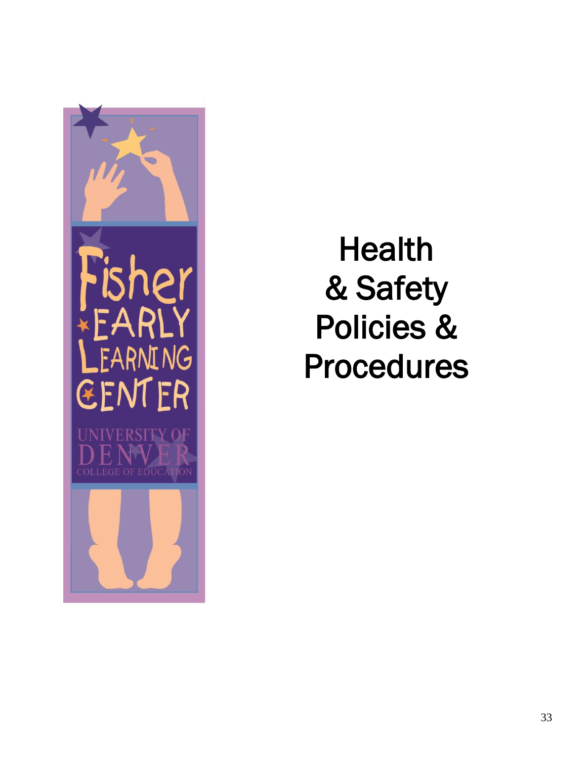

# **Health** & Safety Policies & Procedures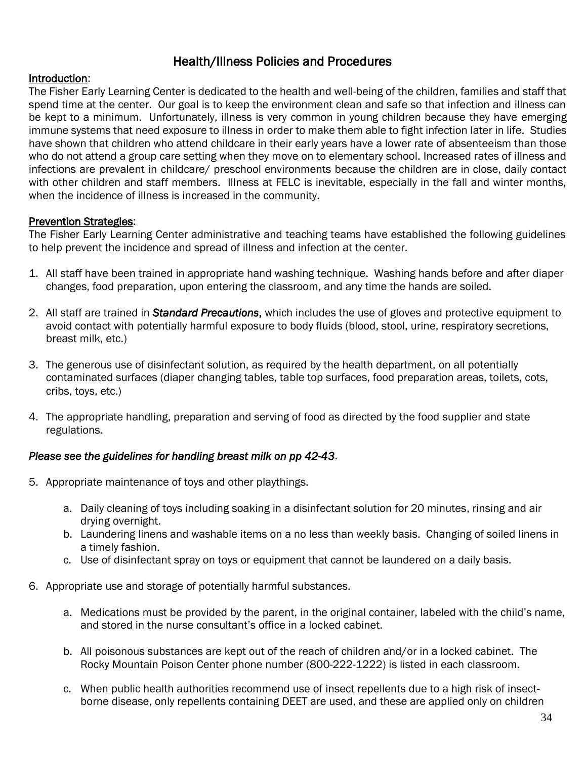## Health/Illness Policies and Procedures

#### Introduction:

The Fisher Early Learning Center is dedicated to the health and well-being of the children, families and staff that spend time at the center. Our goal is to keep the environment clean and safe so that infection and illness can be kept to a minimum. Unfortunately, illness is very common in young children because they have emerging immune systems that need exposure to illness in order to make them able to fight infection later in life. Studies have shown that children who attend childcare in their early years have a lower rate of absenteeism than those who do not attend a group care setting when they move on to elementary school. Increased rates of illness and infections are prevalent in childcare/ preschool environments because the children are in close, daily contact with other children and staff members. Illness at FELC is inevitable, especially in the fall and winter months, when the incidence of illness is increased in the community.

#### Prevention Strategies:

The Fisher Early Learning Center administrative and teaching teams have established the following guidelines to help prevent the incidence and spread of illness and infection at the center.

- 1. All staff have been trained in appropriate hand washing technique. Washing hands before and after diaper changes, food preparation, upon entering the classroom, and any time the hands are soiled.
- 2. All staff are trained in *Standard Precautions*, which includes the use of gloves and protective equipment to avoid contact with potentially harmful exposure to body fluids (blood, stool, urine, respiratory secretions, breast milk, etc.)
- 3. The generous use of disinfectant solution, as required by the health department, on all potentially contaminated surfaces (diaper changing tables, table top surfaces, food preparation areas, toilets, cots, cribs, toys, etc.)
- 4. The appropriate handling, preparation and serving of food as directed by the food supplier and state regulations.

#### *Please see the guidelines for handling breast milk on pp 42-43*.

- 5. Appropriate maintenance of toys and other playthings.
	- a. Daily cleaning of toys including soaking in a disinfectant solution for 20 minutes, rinsing and air drying overnight.
	- b. Laundering linens and washable items on a no less than weekly basis. Changing of soiled linens in a timely fashion.
	- c. Use of disinfectant spray on toys or equipment that cannot be laundered on a daily basis.
- 6. Appropriate use and storage of potentially harmful substances.
	- a. Medications must be provided by the parent, in the original container, labeled with the child's name, and stored in the nurse consultant's office in a locked cabinet.
	- b. All poisonous substances are kept out of the reach of children and/or in a locked cabinet. The Rocky Mountain Poison Center phone number (800-222-1222) is listed in each classroom.
	- c. When public health authorities recommend use of insect repellents due to a high risk of insectborne disease, only repellents containing DEET are used, and these are applied only on children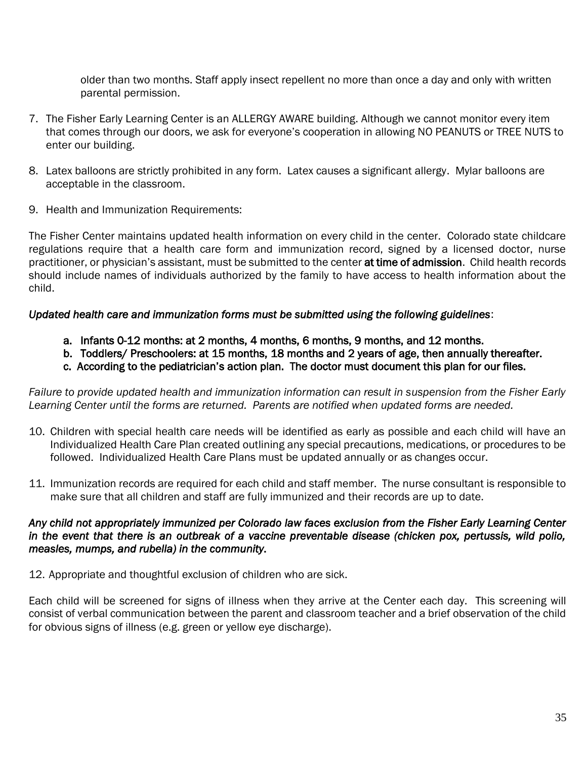older than two months. Staff apply insect repellent no more than once a day and only with written parental permission.

- 7. The Fisher Early Learning Center is an ALLERGY AWARE building. Although we cannot monitor every item that comes through our doors, we ask for everyone's cooperation in allowing NO PEANUTS or TREE NUTS to enter our building.
- 8. Latex balloons are strictly prohibited in any form. Latex causes a significant allergy. Mylar balloons are acceptable in the classroom.
- 9. Health and Immunization Requirements:

The Fisher Center maintains updated health information on every child in the center. Colorado state childcare regulations require that a health care form and immunization record, signed by a licensed doctor, nurse practitioner, or physician's assistant, must be submitted to the center at time of admission. Child health records should include names of individuals authorized by the family to have access to health information about the child.

#### *Updated health care and immunization forms must be submitted using the following guidelines*:

- a. Infants 0-12 months: at 2 months, 4 months, 6 months, 9 months, and 12 months.
- b. Toddlers/ Preschoolers: at 15 months, 18 months and 2 years of age, then annually thereafter.
- c. According to the pediatrician's action plan. The doctor must document this plan for our files.

*Failure to provide updated health and immunization information can result in suspension from the Fisher Early Learning Center until the forms are returned. Parents are notified when updated forms are needed.*

- 10. Children with special health care needs will be identified as early as possible and each child will have an Individualized Health Care Plan created outlining any special precautions, medications, or procedures to be followed. Individualized Health Care Plans must be updated annually or as changes occur.
- 11. Immunization records are required for each child and staff member. The nurse consultant is responsible to make sure that all children and staff are fully immunized and their records are up to date.

#### *Any child not appropriately immunized per Colorado law faces exclusion from the Fisher Early Learning Center in the event that there is an outbreak of a vaccine preventable disease (chicken pox, pertussis, wild polio, measles, mumps, and rubella) in the community*.

12. Appropriate and thoughtful exclusion of children who are sick.

Each child will be screened for signs of illness when they arrive at the Center each day. This screening will consist of verbal communication between the parent and classroom teacher and a brief observation of the child for obvious signs of illness (e.g. green or yellow eye discharge).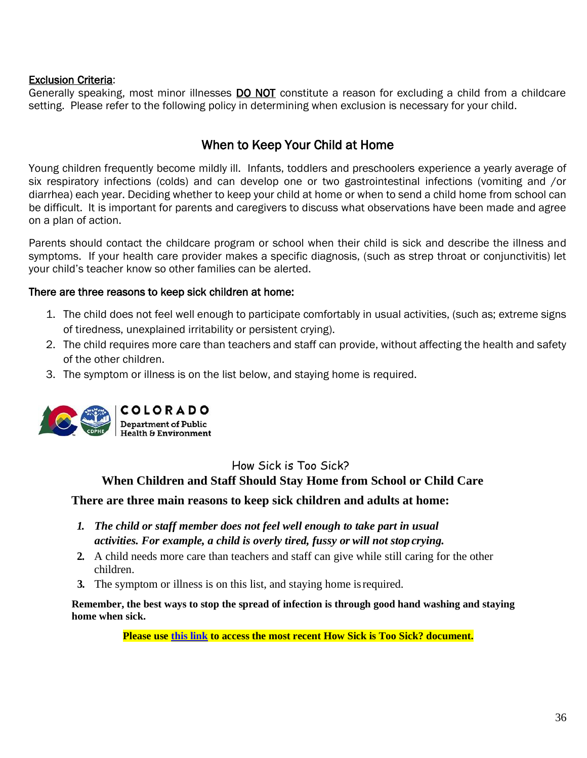#### Exclusion Criteria:

Generally speaking, most minor illnesses DO NOT constitute a reason for excluding a child from a childcare setting. Please refer to the following policy in determining when exclusion is necessary for your child.

## When to Keep Your Child at Home

Young children frequently become mildly ill. Infants, toddlers and preschoolers experience a yearly average of six respiratory infections (colds) and can develop one or two gastrointestinal infections (vomiting and /or diarrhea) each year. Deciding whether to keep your child at home or when to send a child home from school can be difficult. It is important for parents and caregivers to discuss what observations have been made and agree on a plan of action.

Parents should contact the childcare program or school when their child is sick and describe the illness and symptoms. If your health care provider makes a specific diagnosis, (such as strep throat or conjunctivitis) let your child's teacher know so other families can be alerted.

#### There are three reasons to keep sick children at home:

- 1. The child does not feel well enough to participate comfortably in usual activities, (such as; extreme signs of tiredness, unexplained irritability or persistent crying).
- 2. The child requires more care than teachers and staff can provide, without affecting the health and safety of the other children.
- 3. The symptom or illness is on the list below, and staying home is required.



#### How Sick is Too Sick?

#### **When Children and Staff Should Stay Home from School or Child Care**

**There are three main reasons to keep sick children and adults at home:**

- *1. The child or staff member does not feel well enough to take part in usual activities. For example, a child is overly tired, fussy or will not stop crying.*
- **2.** A child needs more care than teachers and staff can give while still caring for the other children.
- **3.** The symptom or illness is on this list, and staying home isrequired.

**Remember, the best ways to stop the spread of infection is through good hand washing and staying home when sick.**

**Please use [this link](https://www.du.edu/fisher/media/documents/how_sick_is_too_sick_cdphe.pdf) to access the most recent How Sick is Too Sick? document.**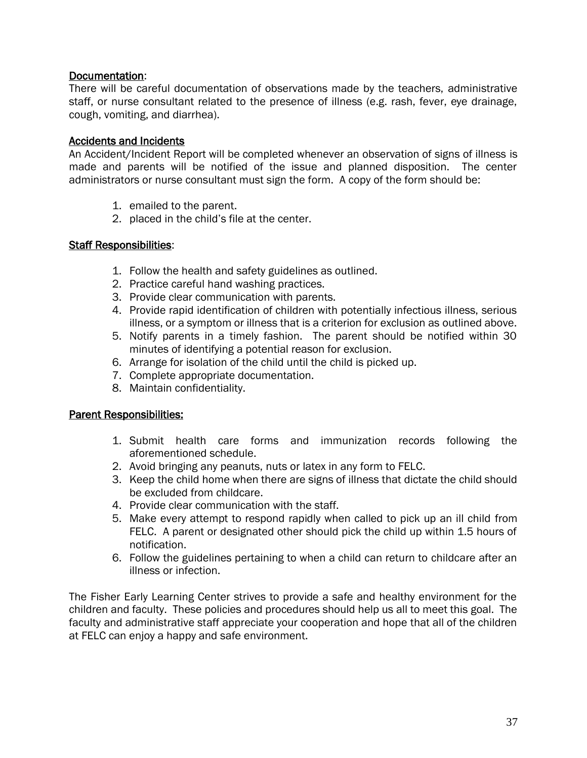#### Documentation:

There will be careful documentation of observations made by the teachers, administrative staff, or nurse consultant related to the presence of illness (e.g. rash, fever, eye drainage, cough, vomiting, and diarrhea).

#### Accidents and Incidents

An Accident/Incident Report will be completed whenever an observation of signs of illness is made and parents will be notified of the issue and planned disposition. The center administrators or nurse consultant must sign the form. A copy of the form should be:

- 1. emailed to the parent.
- 2. placed in the child's file at the center.

#### Staff Responsibilities:

- 1. Follow the health and safety guidelines as outlined.
- 2. Practice careful hand washing practices.
- 3. Provide clear communication with parents.
- 4. Provide rapid identification of children with potentially infectious illness, serious illness, or a symptom or illness that is a criterion for exclusion as outlined above.
- 5. Notify parents in a timely fashion. The parent should be notified within 30 minutes of identifying a potential reason for exclusion.
- 6. Arrange for isolation of the child until the child is picked up.
- 7. Complete appropriate documentation.
- 8. Maintain confidentiality.

#### Parent Responsibilities:

- 1. Submit health care forms and immunization records following the aforementioned schedule.
- 2. Avoid bringing any peanuts, nuts or latex in any form to FELC.
- 3. Keep the child home when there are signs of illness that dictate the child should be excluded from childcare.
- 4. Provide clear communication with the staff.
- 5. Make every attempt to respond rapidly when called to pick up an ill child from FELC. A parent or designated other should pick the child up within 1.5 hours of notification.
- 6. Follow the guidelines pertaining to when a child can return to childcare after an illness or infection.

The Fisher Early Learning Center strives to provide a safe and healthy environment for the children and faculty. These policies and procedures should help us all to meet this goal. The faculty and administrative staff appreciate your cooperation and hope that all of the children at FELC can enjoy a happy and safe environment.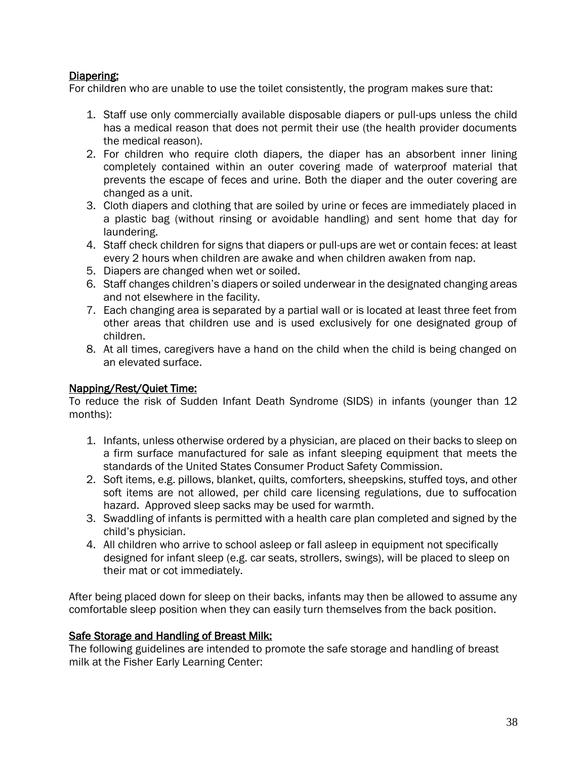## Diapering:

For children who are unable to use the toilet consistently, the program makes sure that:

- 1. Staff use only commercially available disposable diapers or pull-ups unless the child has a medical reason that does not permit their use (the health provider documents the medical reason).
- 2. For children who require cloth diapers, the diaper has an absorbent inner lining completely contained within an outer covering made of waterproof material that prevents the escape of feces and urine. Both the diaper and the outer covering are changed as a unit.
- 3. Cloth diapers and clothing that are soiled by urine or feces are immediately placed in a plastic bag (without rinsing or avoidable handling) and sent home that day for laundering.
- 4. Staff check children for signs that diapers or pull-ups are wet or contain feces: at least every 2 hours when children are awake and when children awaken from nap.
- 5. Diapers are changed when wet or soiled.
- 6. Staff changes children's diapers or soiled underwear in the designated changing areas and not elsewhere in the facility.
- 7. Each changing area is separated by a partial wall or is located at least three feet from other areas that children use and is used exclusively for one designated group of children.
- 8. At all times, caregivers have a hand on the child when the child is being changed on an elevated surface.

## Napping/Rest/Quiet Time:

To reduce the risk of Sudden Infant Death Syndrome (SIDS) in infants (younger than 12 months):

- 1. Infants, unless otherwise ordered by a physician, are placed on their backs to sleep on a firm surface manufactured for sale as infant sleeping equipment that meets the standards of the United States Consumer Product Safety Commission.
- 2. Soft items, e.g. pillows, blanket, quilts, comforters, sheepskins, stuffed toys, and other soft items are not allowed, per child care licensing regulations, due to suffocation hazard. Approved sleep sacks may be used for warmth.
- 3. Swaddling of infants is permitted with a health care plan completed and signed by the child's physician.
- 4. All children who arrive to school asleep or fall asleep in equipment not specifically designed for infant sleep (e.g. car seats, strollers, swings), will be placed to sleep on their mat or cot immediately.

After being placed down for sleep on their backs, infants may then be allowed to assume any comfortable sleep position when they can easily turn themselves from the back position.

## Safe Storage and Handling of Breast Milk:

The following guidelines are intended to promote the safe storage and handling of breast milk at the Fisher Early Learning Center: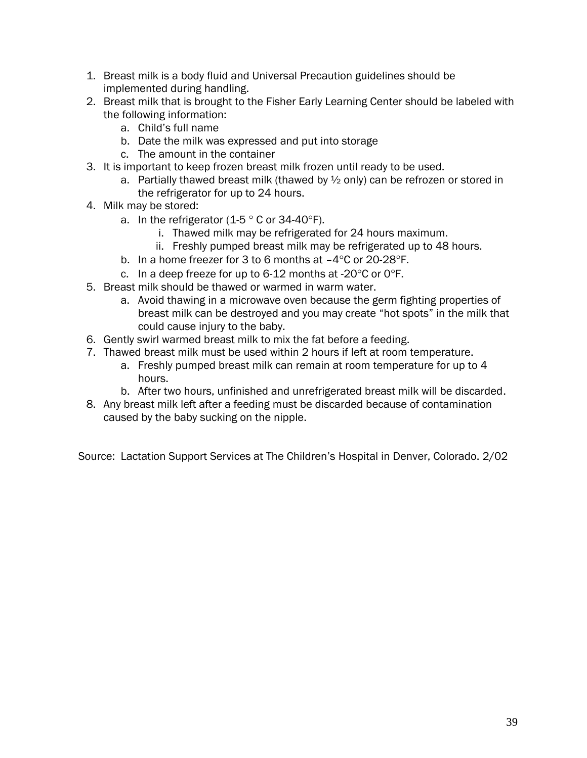- 1. Breast milk is a body fluid and Universal Precaution guidelines should be implemented during handling.
- 2. Breast milk that is brought to the Fisher Early Learning Center should be labeled with the following information:
	- a. Child's full name
	- b. Date the milk was expressed and put into storage
	- c. The amount in the container
- 3. It is important to keep frozen breast milk frozen until ready to be used.
	- a. Partially thawed breast milk (thawed by  $\frac{1}{2}$  only) can be refrozen or stored in the refrigerator for up to 24 hours.
- 4. Milk may be stored:
	- a. In the refrigerator  $(1-5 ° C)$  or 34-40°F).
		- i. Thawed milk may be refrigerated for 24 hours maximum.
		- ii. Freshly pumped breast milk may be refrigerated up to 48 hours.
	- b. In a home freezer for 3 to 6 months at  $-4^{\circ}$ C or 20-28 $^{\circ}$ F.
	- c. In a deep freeze for up to 6-12 months at -20 $\degree$ C or 0 $\degree$ F.
- 5. Breast milk should be thawed or warmed in warm water.
	- a. Avoid thawing in a microwave oven because the germ fighting properties of breast milk can be destroyed and you may create "hot spots" in the milk that could cause injury to the baby.
- 6. Gently swirl warmed breast milk to mix the fat before a feeding.
- 7. Thawed breast milk must be used within 2 hours if left at room temperature.
	- a. Freshly pumped breast milk can remain at room temperature for up to 4 hours.
	- b. After two hours, unfinished and unrefrigerated breast milk will be discarded.
- 8. Any breast milk left after a feeding must be discarded because of contamination caused by the baby sucking on the nipple.

Source: Lactation Support Services at The Children's Hospital in Denver, Colorado. 2/02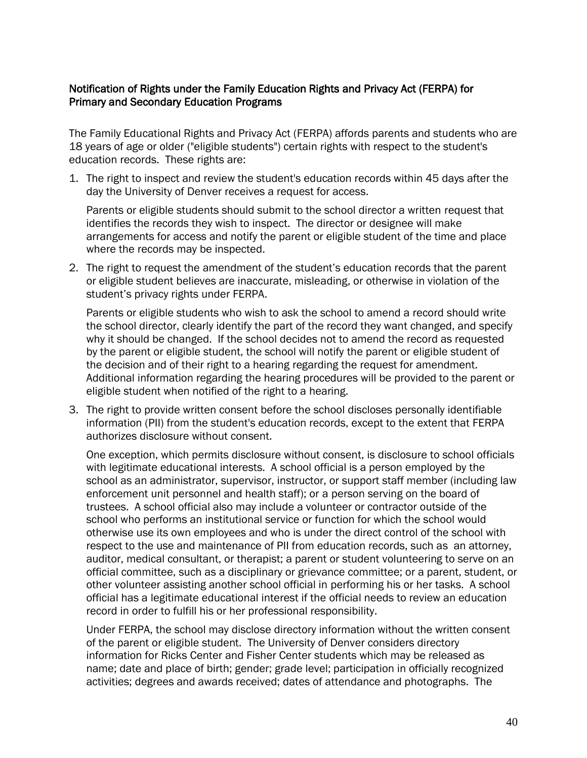#### Notification of Rights under the Family Education Rights and Privacy Act (FERPA) for Primary and Secondary Education Programs

The Family Educational Rights and Privacy Act (FERPA) affords parents and students who are 18 years of age or older ("eligible students") certain rights with respect to the student's education records. These rights are:

1. The right to inspect and review the student's education records within 45 days after the day the University of Denver receives a request for access.

Parents or eligible students should submit to the school director a written request that identifies the records they wish to inspect. The director or designee will make arrangements for access and notify the parent or eligible student of the time and place where the records may be inspected.

2. The right to request the amendment of the student's education records that the parent or eligible student believes are inaccurate, misleading, or otherwise in violation of the student's privacy rights under FERPA.

Parents or eligible students who wish to ask the school to amend a record should write the school director, clearly identify the part of the record they want changed, and specify why it should be changed. If the school decides not to amend the record as requested by the parent or eligible student, the school will notify the parent or eligible student of the decision and of their right to a hearing regarding the request for amendment. Additional information regarding the hearing procedures will be provided to the parent or eligible student when notified of the right to a hearing.

3. The right to provide written consent before the school discloses personally identifiable information (PII) from the student's education records, except to the extent that FERPA authorizes disclosure without consent.

One exception, which permits disclosure without consent, is disclosure to school officials with legitimate educational interests. A school official is a person employed by the school as an administrator, supervisor, instructor, or support staff member (including law enforcement unit personnel and health staff); or a person serving on the board of trustees. A school official also may include a volunteer or contractor outside of the school who performs an institutional service or function for which the school would otherwise use its own employees and who is under the direct control of the school with respect to the use and maintenance of PII from education records, such as an attorney, auditor, medical consultant, or therapist; a parent or student volunteering to serve on an official committee, such as a disciplinary or grievance committee; or a parent, student, or other volunteer assisting another school official in performing his or her tasks. A school official has a legitimate educational interest if the official needs to review an education record in order to fulfill his or her professional responsibility.

Under FERPA, the school may disclose directory information without the written consent of the parent or eligible student. The University of Denver considers directory information for Ricks Center and Fisher Center students which may be released as name; date and place of birth; gender; grade level; participation in officially recognized activities; degrees and awards received; dates of attendance and photographs. The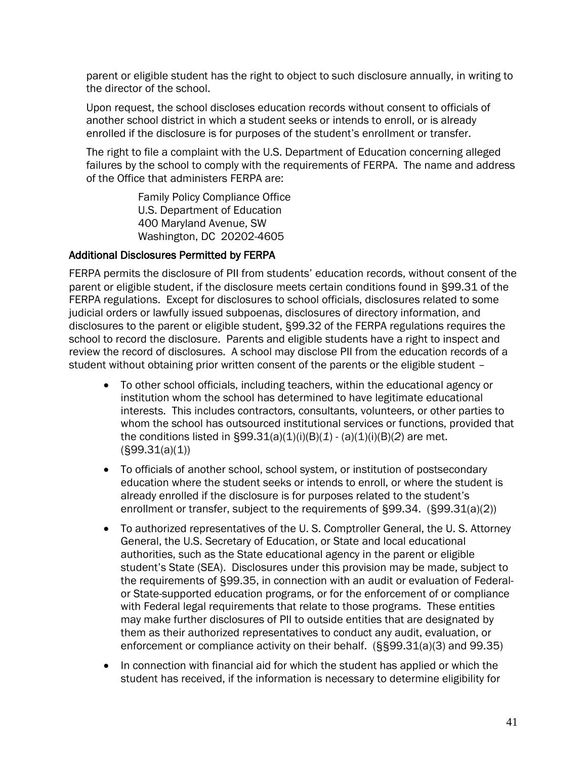parent or eligible student has the right to object to such disclosure annually, in writing to the director of the school.

Upon request, the school discloses education records without consent to officials of another school district in which a student seeks or intends to enroll, or is already enrolled if the disclosure is for purposes of the student's enrollment or transfer.

The right to file a complaint with the U.S. Department of Education concerning alleged failures by the school to comply with the requirements of FERPA. The name and address of the Office that administers FERPA are:

> Family Policy Compliance Office U.S. Department of Education 400 Maryland Avenue, SW Washington, DC 20202-4605

#### Additional Disclosures Permitted by FERPA

FERPA permits the disclosure of PII from students' education records, without consent of the parent or eligible student, if the disclosure meets certain conditions found in §99.31 of the FERPA regulations. Except for disclosures to school officials, disclosures related to some judicial orders or lawfully issued subpoenas, disclosures of directory information, and disclosures to the parent or eligible student, §99.32 of the FERPA regulations requires the school to record the disclosure. Parents and eligible students have a right to inspect and review the record of disclosures. A school may disclose PII from the education records of a student without obtaining prior written consent of the parents or the eligible student –

- To other school officials, including teachers, within the educational agency or institution whom the school has determined to have legitimate educational interests. This includes contractors, consultants, volunteers, or other parties to whom the school has outsourced institutional services or functions, provided that the conditions listed in §99.31(a)(1)(i)(B)(*1*) - (a)(1)(i)(B)(*2*) are met. (§99.31(a)(1))
- To officials of another school, school system, or institution of postsecondary education where the student seeks or intends to enroll, or where the student is already enrolled if the disclosure is for purposes related to the student's enrollment or transfer, subject to the requirements of §99.34. (§99.31(a)(2))
- To authorized representatives of the U. S. Comptroller General, the U. S. Attorney General, the U.S. Secretary of Education, or State and local educational authorities, such as the State educational agency in the parent or eligible student's State (SEA). Disclosures under this provision may be made, subject to the requirements of §99.35, in connection with an audit or evaluation of Federalor State-supported education programs, or for the enforcement of or compliance with Federal legal requirements that relate to those programs. These entities may make further disclosures of PII to outside entities that are designated by them as their authorized representatives to conduct any audit, evaluation, or enforcement or compliance activity on their behalf. (§§99.31(a)(3) and 99.35)
- In connection with financial aid for which the student has applied or which the student has received, if the information is necessary to determine eligibility for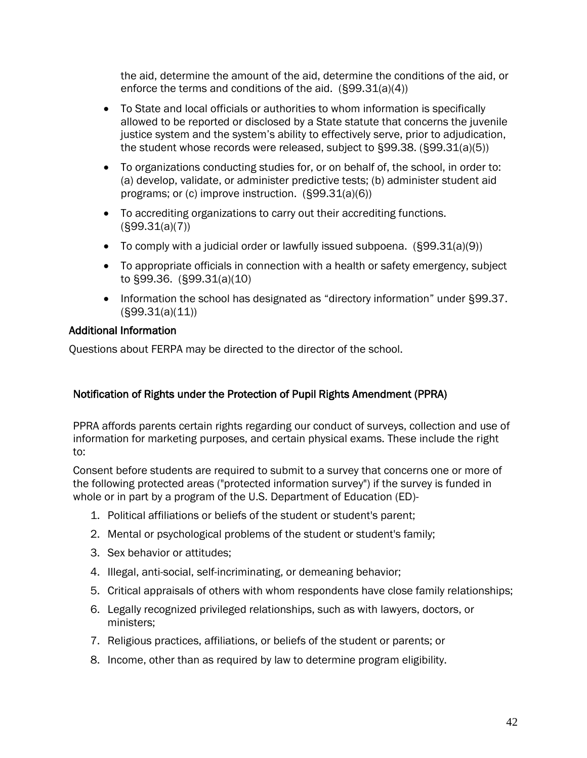the aid, determine the amount of the aid, determine the conditions of the aid, or enforce the terms and conditions of the aid. (§99.31(a)(4))

- To State and local officials or authorities to whom information is specifically allowed to be reported or disclosed by a State statute that concerns the juvenile justice system and the system's ability to effectively serve, prior to adjudication, the student whose records were released, subject to §99.38. (§99.31(a)(5))
- To organizations conducting studies for, or on behalf of, the school, in order to: (a) develop, validate, or administer predictive tests; (b) administer student aid programs; or (c) improve instruction. (§99.31(a)(6))
- To accrediting organizations to carry out their accrediting functions. (§99.31(a)(7))
- To comply with a judicial order or lawfully issued subpoena. (§99.31(a)(9))
- To appropriate officials in connection with a health or safety emergency, subject to §99.36. (§99.31(a)(10)
- Information the school has designated as "directory information" under §99.37. (§99.31(a)(11))

## Additional Information

Questions about FERPA may be directed to the director of the school.

## Notification of Rights under the Protection of Pupil Rights Amendment (PPRA)

PPRA affords parents certain rights regarding our conduct of surveys, collection and use of information for marketing purposes, and certain physical exams. These include the right to:

Consent before students are required to submit to a survey that concerns one or more of the following protected areas ("protected information survey") if the survey is funded in whole or in part by a program of the U.S. Department of Education (ED)-

- 1. Political affiliations or beliefs of the student or student's parent;
- 2. Mental or psychological problems of the student or student's family;
- 3. Sex behavior or attitudes;
- 4. Illegal, anti-social, self-incriminating, or demeaning behavior;
- 5. Critical appraisals of others with whom respondents have close family relationships;
- 6. Legally recognized privileged relationships, such as with lawyers, doctors, or ministers;
- 7. Religious practices, affiliations, or beliefs of the student or parents; or
- 8. Income, other than as required by law to determine program eligibility.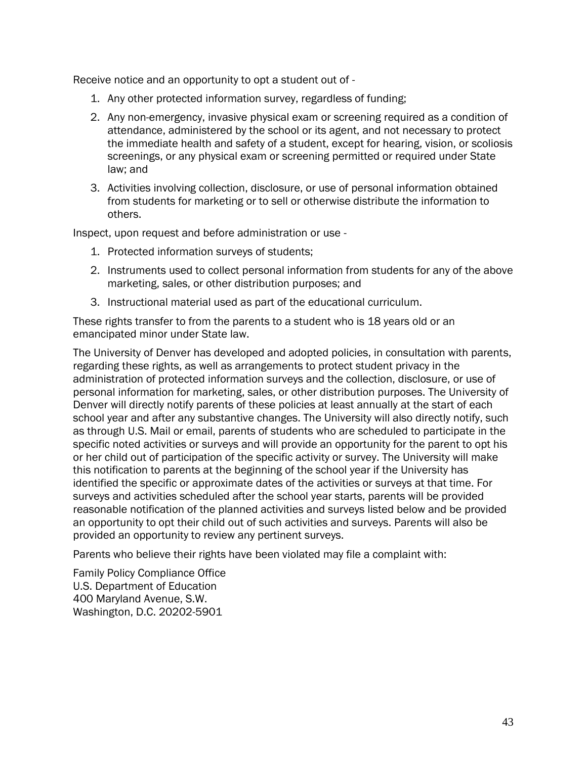Receive notice and an opportunity to opt a student out of -

- 1. Any other protected information survey, regardless of funding;
- 2. Any non-emergency, invasive physical exam or screening required as a condition of attendance, administered by the school or its agent, and not necessary to protect the immediate health and safety of a student, except for hearing, vision, or scoliosis screenings, or any physical exam or screening permitted or required under State law; and
- 3. Activities involving collection, disclosure, or use of personal information obtained from students for marketing or to sell or otherwise distribute the information to others.

Inspect, upon request and before administration or use -

- 1. Protected information surveys of students;
- 2. Instruments used to collect personal information from students for any of the above marketing, sales, or other distribution purposes; and
- 3. Instructional material used as part of the educational curriculum.

These rights transfer to from the parents to a student who is 18 years old or an emancipated minor under State law.

The University of Denver has developed and adopted policies, in consultation with parents, regarding these rights, as well as arrangements to protect student privacy in the administration of protected information surveys and the collection, disclosure, or use of personal information for marketing, sales, or other distribution purposes. The University of Denver will directly notify parents of these policies at least annually at the start of each school year and after any substantive changes. The University will also directly notify, such as through U.S. Mail or email, parents of students who are scheduled to participate in the specific noted activities or surveys and will provide an opportunity for the parent to opt his or her child out of participation of the specific activity or survey. The University will make this notification to parents at the beginning of the school year if the University has identified the specific or approximate dates of the activities or surveys at that time. For surveys and activities scheduled after the school year starts, parents will be provided reasonable notification of the planned activities and surveys listed below and be provided an opportunity to opt their child out of such activities and surveys. Parents will also be provided an opportunity to review any pertinent surveys.

Parents who believe their rights have been violated may file a complaint with:

Family Policy Compliance Office U.S. Department of Education 400 Maryland Avenue, S.W. Washington, D.C. 20202-5901